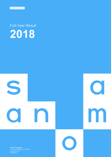

Full-Year Result **2018**



**Sanoma Corporation** P.O.Box 60, 00089 Sanoma, Finland ID 1524361-1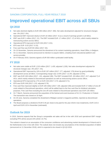### SANOMA CORPORATION, FULL-YEAR RESULT 2018

# **Improved operational EBIT across all SBUs**

### **Q4 2018**

- Net sales declined slightly to EUR 298 million (2017: 306). Net sales development adjusted for structural changes was -3% (2017: 0%).
- Operational EBIT improved clearly to EUR 18 million (2017: 4) as a result of earnings growth in all SBUs.
- EBIT was EUR 1 million (2017: 21). The EBIT included EUR -17 million (2017: 17) of IACs, which mainly related to restructuring actions across SBUs.
- Operational EPS improved to EUR 0.06 (2017: 0.01).
- EPS was EUR -0.03 (2017: 0.10).
- Free cash flow was EUR 69 million (2017: 84).
- On 15 November, Sanoma announced the divestment of its content marketing operations, Head Office, in Belgium.
- On 11 December, Sanoma announced its intention to acquire Iddink, a leading Dutch educational platform and service provider.
- On 4 February 2019, Sanoma signed a EUR 550 million syndicated credit facility.

### **FY 2018**

- Net sales were stable at EUR 1,315 million (2017: 1,435; adjusted 1,328). Net sales development adjusted for structural changes was -3% (2017: 1%).
- Operational EBIT improved by 10% to EUR 197 million (2017: 177, adjusted: 179) driven by good profitability development across all SBUs. Corresponding margin was 14.9% (2017: 12.3%; adjusted 13.5%).
- EBIT was EUR 169 million (2017: -241, adjusted 186). The EBIT included EUR -28 million (2017:-417; adjusted 7) of IACs, which mainly related to Discontinued operations as well as restructuring actions across SBUs.
- Operational EPS improved by 17% to EUR 0.83 (2017: 0.70; adjusted 0.71).
- **EPS was EUR 0.68 (2017:-1.02; adjusted 0.76).**
- Free cash flow improved slightly to EUR 109 million (2017: 105; adjusted 106) and included EUR 17 million of one-off costs related to Discontinued operations, which will be added back to the free cash flow for dividend calculation purposes. Free cash flow excluding the one-off costs related to Discontinued operations was EUR 126 million.
- On 7 March, Sanoma announced the acquisition of the festival and event business of N.C.D. Production in Finland. The transaction was closed on 18 April.
- On 29 June, Sanoma completed the divestment of Belgian women's magazine portfolio, reported as discontinued operations.
- The Board proposes a dividend of EUR 0.45 per share to be paid for the year 2018 in two instalments, EUR 0.25 in April and EUR 0.20 in November (estimated).

### **Outlook for 2019**

In 2019, Sanoma expects that the Group's comparable net sales will be in-line with 2018 and operational EBIT margin excluding PPA will be around 15% (2018: 15.7%).

The outlook is based on an assumption of the consumer confidence and advertising market development in Finland and in the Netherlands to be in line with 2018. The outlook does not include any assumptions of the intended acquisition of Iddink (announced on 11 December 2018), which is expected to be closed in Q2-Q3 2019.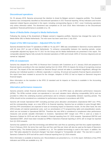#### **Discontinued operations**

On 16 January 2018, Sanoma announced the intention to divest its Belgian women's magazine portfolio. The divested business was consequently classified as Discontinued operations in 2017 financial reporting. All key indicators and income statement related figures presented in this report, including corresponding figures in 2017, cover Continuing operations only unless otherwise stated. The divestment was completed on 29 June 2018. More information on the Discontinued operations' financial performance is available on p. 36.

#### **Name of Media BeNe changed to Media Netherlands**

Following the closing of the divestment of Belgian women's magazine portfolio, Sanoma has changed the name of its Media BeNe SBU to Media Netherlands. The new name has been used since 1 July 2018.

#### **Impact of the SBS transaction – Adjusted KPIs for 2017**

Sanoma divested the Dutch TV operations of SBS on 19 July 2017. SBS was consolidated in Sanoma's income statement until 30 June 2017 as part of Media Netherlands. To enhance comparability between the reporting periods, certain comparable adjusted key figures for FY 2017 for the Group and for Media Netherlands are presented in this report. The comparable adjusted figures fully exclude the divested operations of SBS and include 100% of Veronica Uitgeverij and are named as "adjusted".

#### **IFRS 15 restatement**

Sanoma has adopted the new IFRS 15 Revenue from Contracts with Customers as of 1 January 2018 and prepared its financial reports according to the new standard starting from Q1 2018. IFRS 15 impacts the timing of recognizing revenue and cost. The impact of the new standard on Sanoma Group's annual net sales is considered insignificant, although the phasing over individual quarters is affected, especially in Learning. All annual and quarterly financial figures presented in this report have been restated to account for the changes. Adoption of IFRS 15 had no impact on Sanoma's long-term financial targets.

More information on the transition to the IFRS 15 standard and its impacts on Sanoma is available in the Accounting policies, p. 25–26.

#### **Alternative performance measures**

Sanoma presents certain financial performance measures on a non-IFRS basis as alternative performance measures (APMs). The APMs exclude certain non-operational or non-cash valuation items affecting comparability (IACs) and are provided to reflect the underlying business performance and to enhance comparability between reporting periods. The APMs should not be considered as a substitute for performance measures in accordance with IFRS.

Sanoma will include Operational EBIT excluding purchase price allocation amortisations (Operational EBIT excl. PPA), and the corresponding margin, as a new APM in its financial reporting. Sanoma has an ambition to grow through M&A, and thus PPA amortisations are expected to have an increasing impact on Sanoma's results. On the other hand, the new APM includes all material operational costs, such as amortisations of TV-programming rights and prepublication assets, which are not included in Operational EBITDA. Therefore the new APM is considered to complement other performance measures and provide valuable information to investors. Operational EBIT margin excl. PPA is used as a basis in Sanoma's Outlook for 2019 and will be included in financial reporting from Q1 2019 onwards. Operational EBITDA and Operational EBIT, which have been included as APMs in Sanoma's financial reporting in 2018, will no longer be reported from Q1 2019 onwards.

Sanoma has updated its cash flow terminology and defined free cash flow as operating cash flow less capital expenditure. From 6 February 2019, the terms free cash flow and free cash flow per share will also be used as the basis of Sanoma's dividend policy. The dividend policy is available on p. 18. The updated terminology is used in this report. In addition, the term "Net sales adjusted for structural changes" has been changed to "Comparable net sales". The new term is used in Sanoma's Outlook for 2019 and will be used in financial reporting from Q1 2019 onwards.

More information is available at Sanoma.com. Reconciliations are presented on p. 21 in this report. Definitions of key IFRS indicators and APMs are available on p. 38.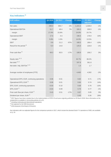### **Key indicators 1)**

| <b>EUR million</b>                          | Q4 2018 | Q4 2017 | <b>Change</b> | <b>FY 2018</b> | FY 2017<br>adjusted | <b>Change</b> |
|---------------------------------------------|---------|---------|---------------|----------------|---------------------|---------------|
| Net sales                                   | 298.0   | 305.7   | $-3%$         | 1,315.4        | 1,328.0             | $-1\%$        |
| <b>Operational EBITDA</b>                   | 51.7    | 48.4    | 7%            | 326.3          | 328.5               | $-1\%$        |
| margin                                      | 17.4%   | 15.8%   |               | 24.8%          | 24.7%               |               |
| <b>Operational EBIT</b>                     | 17.6    | 4.4     |               | 196.6          | 179.0               | 10%           |
| margin                                      | 5.9%    | 1.5%    |               | 14.9%          | 13.5%               |               |
| <b>EBIT</b>                                 | 0.6     | 21.2    | $-97%$        | 168.5          | 186.4               | $-10%$        |
| Result for the period <sup>2)</sup>         | $-5.0$  | 14.8    |               | 125.6          | 126.8               | $-1%$         |
|                                             |         |         |               |                |                     |               |
| Free cash flow $2)$                         | 69.3    | 83.5    | $-17%$        | 108.9          | 106.2               | 3%            |
|                                             |         |         |               |                |                     |               |
| Equity ratio $2^{(1)}$ , $3^{(1)}$          |         |         |               | 44.7%          | 38.2%               |               |
| Net debt $2, 3$                             |         |         |               | 337.8          | 391.8               |               |
| Net debt / Adj. EBITDA <sup>2), 3)</sup>    |         |         |               | 1.4            | 1.7                 |               |
|                                             |         |         |               |                |                     |               |
| Average number of employees (FTE)           |         |         |               | 4,463          | 4,562               | $-2%$         |
|                                             |         |         |               |                |                     |               |
| Operational EPS, EUR, continuing operations | 0.06    | 0.01    |               | 0.83           | 0.71                | 17%           |
| Operational EPS, EUR <sup>2)</sup>          | 0.06    | 0.01    |               | 0.84           | 0.74                | 14%           |
| EPS, EUR, continuing operations             | $-0.03$ | 0.10    |               | 0.68           | 0.76                | $-10%$        |
| EPS, EUR $^{2)}$                            | $-0.03$ | 0.09    |               | 0.76           | 0.77                | $-1%$         |
| Free cash flow per share, EUR $^{2)}$       | 0.43    | 0.51    | $-17%$        | 0.67           | 0.65                | 3%            |
| Dividend per share, EUR <sup>4)</sup>       |         |         |               | 0.45           | 0.35                | 29%           |

<sup>1)</sup> 2017 figures have been restated due to the implementation of IFRS 15 and were originally published on 29 March 2018. More information on the restatement is available in Accounting policies on p 25.

2) Including continuing and discontinued operations.

<sup>3)</sup> Not adjusted for the SBS divestment.

<sup>4)</sup> 2018 proposal of the Board of Directors.

Key indicators with non-adjusted figures for the comparison periods in 2017, which include the divested Dutch TV operations of SBS, are available on p. 19.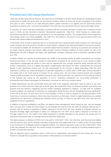### **President and CEO Susan Duinhoven:**

"2018 was another good year for Sanoma. We improved our profitability in all three SBUs despite the challenging business environment in media. During the year, we also took pre-emptive actions to ensure we remain competitive in the months and years to come. Thanks to our solid financial position, growth returned to our agenda and we announced several acquisitions during the year. I am proud and grateful of the hard work and commitment that our teams have again shown.

In Learning, our teams have been particularly successful with the curriculum renewals in Poland and in Finland in recent years. In 2018, we also launched a business development programme, "High Five", which focuses on creating lean, harmonised and efficient operations and processes for our five operating countries. The positive effects of the programme were already visible in our 2018 profitability. The "High Five" will continue in the years to come and we expect further cost benefits with modest additional investments in 2019.

In December 2018, we took a significant step on our growth path from a predominantly media company into a learning and media company. We announced our intention to acquire Iddink, a leading Dutch educational platform and service provider. The transaction enables the development of seamless digital learning solutions, improving our products and services for the pupils, parents, teachers and schools. Iddink provides Sanoma Learning a platform for future growth not only in the Netherlands, but also in Belgium and Spain, and significantly increases Learning's share of Sanoma's operational EBIT excl. PPA.

In Media Finland, our success in transformation was visible in the growing number of digital subscriptions for Helsingin Sanomat and Ruutu. In HS, the total number of subscriptions increased for the second year in a row. Growth in digital subscriptions compensated the decline in print, and we experienced new, younger audiences being attracted with new product combinations, such as a digital subscription complemented with printed HS Viikko. Unfortunately the continued decline in print advertising volumes was not fully compensated by the increase in digital advertising. With this trend expected to continue, we conducted targeted co-operative negotiations in certain parts of B2B sales, printing operations and media units in the fourth quarter to prepare for the coming years. We are actively seeking growth and completed several smaller synergetic bolt-on acquisitions during the year. Most prominently, the expansion into the growing markets of live festivals and events by the acquisition of N.C.D. Production strengthens our cross-media proposition in entertainment and creates advantages for advertisers, consumers as well as the creative talents.

In Media Netherlands, we had a particularly strong year both in the magazine subscription sales as well as in the news business NU.nl, where both the usage and revenues grew. We continued to focus our business portfolio even further and divested both the women's magazines and the content marketing operations in Belgium. To align with the simplified business portfolio, we continued to streamline our organisation during the year and our profitability improved significantly. At the end of the year, we took some one-off costs (booked as IACs) in order to prepare for the discontinuation of the Home Deco e-commerce operations, which have been licensed to a third party. Growth in digital advertising was partially supported by the data-driven marketing and cashback service Scoupy, of which we own 95% since June and have now integrated it into our organisation.

In addition to improved profitability in all SBUs, our balance sheet strengthened further during the year, and our leverage was 1.4 at year-end. In 2019, the main impacts on our leverage will come from the new IFRS 16 standard, effective as of 1 January, and the closing of acquisition of Iddink, expected in Q2-Q3 2019. We have decided to prudently maintain our long-term leverage target unchanged at "below 2.5" although the new IFRS 16 by itself is expected to increase our leverage roughly by 0.6. The impact of the Iddink acquisition is partially dependent on the timing of the closing, but it is expected to temporarily take our leverage above the long-term target level.

The Board proposes a dividend of EUR 0.45 to be paid for 2018 (2017: 0.35). Our 2018 free cash flow improved slightly from the previous year, and for dividend calculation purposes we have added back EUR 17 million of one-off costs related to the divestment of the Belgian women's magazine portfolio. The dividend represents a pay-out ratio of 58% (2017: 55%) of this way adjusted free cash flow. We remain strongly committed to our policy of paying an increasing dividend equal to 40-60% of annual free cash flow.

With the attractive bolt-on acquisitions done in 2018 and our organisations well prepared for the coming year, we look forward to integrate these acquisitions successfully in 2019 and grow our business further."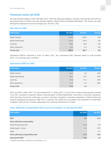### **Financial review Q4 2018**

Net sales declined slightly to EUR 298 million (2017: 306). Net sales grew slightly in Learning, where growth was driven by good performance in Poland. Net sales declined slightly in Media Finland and Media Netherlands. The Group's net sales development adjusted for structural changes was -3% (2017: 0%).

#### **Net sales by SBU**

| <b>EUR million</b> | Q4 2018 | Q4 2017 | Change |
|--------------------|---------|---------|--------|
| Media Finland      | 144.5   | 150.4   | $-4%$  |
| Media Netherlands  | 113.8   | 116.9   | $-3%$  |
| Learning           | 39.8    | 38.5    | 3%     |
| Other operations   | $-0.2$  | $-0.2$  | $0\%$  |
| <b>Group total</b> | 298.0   | 305.7   | $-3%$  |

Operational EBITDA amounted to EUR 52 million (2017: 48). Operational EBIT improved clearly to EUR 18 million (2017: 4) as earnings grew in all SBUs.

#### **Operational EBIT by SBU**

| <b>EUR million</b> | Q4 2018 | Q4 2017 | Change |
|--------------------|---------|---------|--------|
| Media Finland      | 16.0    | 9.8     | 63%    |
| Media Netherlands  | 23.7    | 19.2    | 23%    |
| Learning           | $-17.8$ | $-21.6$ | 18%    |
| Other operations   | $-4.3$  | $-3.0$  | $-44%$ |
| <b>Group total</b> | 17.6    | 4.4     |        |

EBIT was EUR 1 million (2017: 21) and included EUR -17 million (2017: 17) net of IACs. Restructuring expenses included in the IACs consisted of expenses related to discontinuation of Media Netherlands' Home Deco e-commerce operations, which have been licensed to a third party, as well as conclusion of targeted co-operative negotiations in Media Finland and business development programme "High Five" in Learning. The capital loss was related to the divestment of Head Office in Belgium, while Q4 2017 included capital gains from real estate divestments in Finland.

#### **Items affecting comparability (IACs) and reconciliation of operational EBIT**

| <b>EUR million</b>                  | Q4 2018 | Q4 2017 |
|-------------------------------------|---------|---------|
| <b>EBIT</b>                         | 0.6     | 21.2    |
| Items affecting comparability       |         |         |
| Restructuring expenses              | $-14.6$ | $-9.0$  |
| Capital gains / losses              | $-2.4$  | 25.8    |
| Other                               |         | $-0.1$  |
| Items affecting comparability total | $-17.0$ | 16.8    |
| <b>Operational EBIT</b>             | 17.6    | 4.4     |
|                                     |         |         |

A detailed reconciliation on SBU level is presented on p. 21.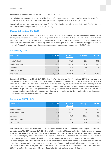Net financial items decreased and totalled EUR -3 million (2017: -8).

Result before taxes amounted to EUR -3 million (2017: 14). Income taxes were EUR -2 million (2017: 2). Result for the period was EUR -5 million (2017: 16) and including Discontinued operations EUR -5 million (2017: 15).

Operational earnings per share were EUR 0.06 (2017: 0.01). Earnings per share were EUR -0.03 (2017: 0.10) and including Discontinued operations EUR -0.03 (2017: 0.09).

### **Financial review FY 2018**

Net sales were stable and amounted to EUR 1,315 million (2017: 1,435; adjusted 1,328). Net sales of Media Finland were on the previous year's level as a result of the acquisition of N.C.D. Production. Net sales of Media Netherlands declined slightly, partially due to the divestment of the comparison site Kieskeurig.nl, which contributed EUR 5 million in 2017 net sales. Net sales remained stable in Learning compared to strong growth in 2017 with the two overlapping curriculum reforms in Poland. The Group's net sales development adjusted for structural changes was -3% (2017: 1%).

#### **Net sales by SBU**

| <b>EUR million</b> | FY 2018 | <b>FY 2017</b><br>adjusted | <b>Change</b> | FY 2017 |
|--------------------|---------|----------------------------|---------------|---------|
| Media Finland      | 578.5   | 570.4                      | 1%            | 570.4   |
| Media Netherlands  | 424.0   | 439.6                      | $-4%$         | 546.4   |
| Learning           | 313.3   | 318.3                      | $-2%$         | 318.3   |
| Other operations   | $-0.4$  | $-0.4$                     | $0\%$         | $-0.4$  |
| <b>Group total</b> | 1,315.4 | 1,328.0                    | $-1%$         | 1,434.7 |

Operational EBITDA was stable at EUR 326 million (2017: 392; adjusted 329). Operational EBIT improved clearly to EUR 197 million (2017: 177; adjusted 179), corresponding to a margin of 14.9% (2017: 12.3%; adjusted 13.5%). Earnings improved in all SBUs. In Media Netherlands, this was mainly driven by the improved cost structure resulting from the continued focusing of the business portfolio. In Learning, earnings grew following the launch of the business development programme "High Five" and solid performance especially in Poland and in Finland. Lower amortisations of TV programming rights, in particular related to the discontinuation of the ice-hockey TV-rights, and continued cost innovations had a positive impact in Media Finland's operational EBIT.

#### **Operational EBIT by SBU**

| <b>EUR million</b> | FY 2018 | <b>FY 2017</b><br>adjusted | Change | FY 2017 |
|--------------------|---------|----------------------------|--------|---------|
| Media Finland      | 68.8    | 65.5                       | 5%     | 65.5    |
| Media Netherlands  | 76.6    | 68.1                       | 12%    | 65.8    |
| Learning           | 61.2    | 55.6                       | 10%    | 55.6    |
| Other operations   | $-10.0$ | $-10.2$                    | 2%     | $-10.2$ |
| <b>Group total</b> | 196.6   | 179.0                      | 10%    | 176.7   |

EBIT decreased to EUR 169 million (2017: -241; adjusted 186) due to costs related to restructuring of the businesses during the year. The EBIT included EUR -28 million (2017: -417; adjusted 7) net of IACs. Restructuring expenses included in the IACs were related to discontinuation of Media Netherlands' Home Deco e-commerce operations, which have been licensed to a third party, as well as conclusion of targeted co-operative negotiations in Media Finland and the launch of business development programme "High Five" in Learning. In addition, there were restructuring expenses related to the Discontinued operations, which included provisions related to onerous contracts of vacated office space and discontinued IT services. The net capital gain consists of the divestment of Sanoma Baltics, sale of properties in Finland and the divestment of Head Office in Belgium. The net capital loss in 2017 was related to the divestment of the Dutch TV business SBS. Other IACs include a pension settlement related to the Discontinued operations in Belgium.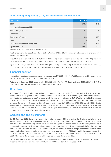#### **Items affecting comparability (IACs) and reconciliation of operational EBIT**

| <b>EUR million</b>                  | FY 2018 | FY 2017  |
|-------------------------------------|---------|----------|
| <b>EBIT</b>                         | 168.5   | $-240.5$ |
| Items affecting comparability       |         |          |
| Restructuring expenses              | $-34.1$ | $-23.3$  |
| Impairments                         |         | $-7.8$   |
| Capital gains / losses              | 2.3     | $-388.4$ |
| Other                               | 3.6     | 2.3      |
| Items affecting comparability total | $-28.2$ | $-417.2$ |
| <b>Operational EBIT</b>             | 196.6   | 176.7    |
|                                     |         |          |

A detailed reconciliation on SBU level is presented on p. 21.

Net financial items decreased and totalled EUR -17 million (2017: -23). The improvement is due to a lower amount of interest-bearing liabilities.

Result before taxes amounted to EUR 151 million (2017: -262). Income taxes were EUR -38 million (2017 -39). Result for the period was EUR 113 million (2017: -302) and including Discontinued operations EUR 126 million (2017: -299).

Operational earnings per share were EUR 0.83 (2017: 0.70; adjusted 0.71). Earnings per share were EUR 0.68 (2017: -1.02; adjusted 0.76) and including Discontinued operations EUR 0.76 (2017: -1.00; adjusted 0.77).

### **Financial position**

Interest-bearing net debt decreased during the year and was EUR 338 million (2017: 392) at the end of December 2018. Net debt to adjusted EBITDA ratio improved to 1.4 (2017: 1.7).

At the end of December 2018, equity totalled EUR 611 million (2017: 547). Equity ratio was 44.7% (2017: 38.2%). The consolidated balance sheet totalled EUR 1,519 million (2017: 1,590).

### **Cash flow**

The Group's free cash flow improved slightly and amounted to EUR 109 million (2017: 105; adjusted 106). The positive impact of lower TV programming spend and net financial items was sufficient to offset the negative impact of higher taxes, including the tax on the sale of an office property in Helsinki, and one-off costs of EUR 17 million related to Discontinued operations in Belgium, which will be added back to the free cash flow for dividend calculation purposes. Free cash flow excluding the one-off costs related to Discontinued operations was EUR 126 million (2017: 105; adjusted 106). Capital expenditure included in the free cash flow was EUR 32 million (2017: 37; adjusted 35). Free cash flow per share was EUR 0.67 (2017: 0.64; adjusted 0.65), and free cash flow per share excluding the one-off costs related to Discontinued operations was EUR 0.77 (2017: 0.64; adjusted 0.65).

### **Acquisitions and divestments**

On 11 December 2018, Sanoma announced its intention to acquire Iddink, a leading Dutch educational platform and service provider. In 2017, net sales of Iddink were EUR 141 million and operational EBITDA was EUR 27 million. Iddink operates in the Netherlands, Belgium and Spain and employs approx. 300 people, about half of the employees working in educational technology. With the acquisition, Sanoma enters the integrated digital educational platform business for secondary and vocational education in the Netherlands, where Iddink's business is complementary to Sanoma's Dutch learning subsidiary Malmberg. Iddink is currently owned by private equity firm NPM Capital and Iddink's management. The purchase price on a cash and debt free basis is EUR 277 million. The transaction is expected to be finalised in Q2-Q3 2019. After closing, the acquired business will be reported as part of the Learning SBU.

On 15 November 2018, Sanoma announced that it has divested its content marketing operations, Head Office, in Belgium. Net sales of the divested business were EUR 13 million in 2017 and it employed 51 people (FTE).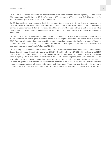On 27 June 2018, Sanoma announced that it has increased its ownership in the Finnish News Agency (STT) from 33% to 75% by acquiring Alma Media's and TS Group's shares in STT. Net sales of STT were approx. EUR 12 million in 2017. STT is reported as part of Media Finland as of 27 June 2018.

On 26 June 2018, Sanoma announced that it has increased its ownership in the Dutch data-driven marketing and cashback service Scoupy from 72% to 95%. Net sales of Scoupy were approx. EUR 7 million in 2017. The founding partners of Scoupy continue to hold the remaining 5% of the company. They also continue to work in a non-executive capacity with Scoupy with a focus on further developing the business. Scoupy will continue to be reported as part of Media Netherlands.

On 7 March 2018, Sanoma announced that it has entered into an agreement to acquire the festival and event business of N.C.D. Production Ltd. and its group companies. Net sales of the acquired operations were approx. EUR 20 million in 2017. The acquired operations have been moved into a newly established company, of which Sanoma holds 60% and the previous owner of N.C.D. Production the remainder. The transaction was completed on 18 April 2018 and the acquired business is reported as part of Media Finland as of Q2 2018.

On 16 January 2018, Sanoma announced an intention to divest its Belgian women's magazine portfolio to Roularta Media Group. Enterprise value of the divested assets was EUR 34 million. Net sales were EUR 81 million and operational EBIT EUR 7 million (EBIT margin 8.1%) in 2017. The divested business is classified as Discontinued operations in Sanoma's financial reporting. The divestment was completed on 29 June 2018. Restructuring costs, capital gains and similar one-off items related to the transaction amounted to a net EBIT gain of EUR 12 million and were booked as IACs into the Discontinued operations' net result for H1 2018 (detailed reconciliation on p. 21). In addition, IACs of EUR -13 million related to onerous contracts of vacated office space and discontinued IT services were booked in the continuing operations' FY 2018 result. More information on the Discontinued operations' financial performance is available on p. 36.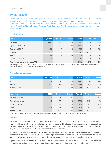### **Media Finland**

Sanoma Media Finland is the leading media company in Finland, reaching 95% of all Finns weekly. We provide information, experiences, inspiration and entertainment through multiple media platforms: newspapers, TV, radio, events, magazines, online and mobile channels. We have leading brands and services, like Helsingin Sanomat, Ilta-Sanomat, Me Naiset, Aku Ankka, Oikotie, Nelonen, Ruutu and Radio Suomipop. For advertisers, we are a trusted partner with insight, impact and reach.

#### **Key indicators**

| <b>EUR million</b>                | Q4 2018 | Q4 2017 | <b>Change</b> | FY 2018 | FY 2017 | <b>Change</b> |
|-----------------------------------|---------|---------|---------------|---------|---------|---------------|
| Net sales                         | 144.5   | 150.4   | $-4%$         | 578.5   | 570.4   | $1\%$         |
| <b>Operational EBITDA</b>         | 35.4    | 35.3    | $0\%$         | 142.8   | 155.7   | $-8%$         |
| <b>Operational EBIT</b>           | 16.0    | 9.8     | 63%           | 68.8    | 65.5    | 5%            |
| Margin                            | 11.1%   | 6.5%    |               | 11.9%   | 11.5%   |               |
| EBIT <sup>1</sup>                 | 9.9     | 8.2     | 21%           | 61.8    | 71.8    | $-14%$        |
| Capital expenditure               | 1.1     | 0.5     |               | 4.1     | 6.4     | $-35%$        |
| Average number of employees (FTE) |         |         |               | 1,781   | 1.744   | 2%            |

<sup>1)</sup> Including IACs of EUR -6.2 million in Q4 2018 (2017: -1.7) and EUR -7.1 million in FY 2018 (2017: 6.2). Reconciliation of operational EBITDA and operational EBIT is presented in a separate table on p.21.

#### **Net sales by category**

| <b>EUR million</b> | Q4 2018 | Q4 2017 | <b>Change</b> | <b>FY 2018</b> | <b>FY 2017</b> | <b>Change</b> |
|--------------------|---------|---------|---------------|----------------|----------------|---------------|
| Print              | 75.4    | 82.8    | $-9%$         | 294.0          | 319.6          | -8%           |
| Non-print          | 69.1    | 67.7    | 2%            | 284.4          | 250.9          | 13%           |
| Net sales total    | 144.5   | 150.4   | $-4%$         | 578.5          | 570.4          | $1\%$         |

| <b>EUR million</b> | Q4 2018 | Q4 2017 | <b>Change</b> | FY 2018 | <b>FY 2017</b> | <b>Change</b> |
|--------------------|---------|---------|---------------|---------|----------------|---------------|
| Advertising sales  | 67.9    | 71.6    | $-5%$         | 250.0   | 263.4          | $-5%$         |
| Subscription sales | 49.4    | 53.1    | $-7%$         | 202.6   | 211.9          | $-4%$         |
| Single copy sales  | 11.7    | 12.2    | $-4%$         | 45.2    | 48.3           | $-6\%$        |
| Other              | 15.5    | 13.6    | 14%           | 80.6    | 46.8           | 72%           |
| Net sales total    | 144.5   | 150.4   | $-4%$         | 578.5   | 570.4          | $1\%$         |

Other sales mainly include festivals and events, marketing services, event marketing, custom publishing, books, and printing.

#### **Q4 2018**

Net sales of Media Finland declined to EUR 145 million (2017: 150). Digital advertising sales increased, but the growth was not sufficient to offset the decline in other advertising products. Digital subscription sales grew, driven especially by Helsingin Sanomat. Decline in the total subscription sales was attributable to the development of print and especially magazine subscription sales and the discontinuation of pay-tv in September.

According to the Finnish Advertising Trends survey for December 2018 by Kantar TNS, the advertising market in Finland decreased by 2% on a net basis in Q4 2018. Advertising in newspapers decreased by 12%, in magazines by 2% and on TV by 1%, whereas advertising in radio increased by 4% and online, excluding search and social media, by 2%.

Operational EBIT improved to EUR 16 million (2017: 10), representing a margin of 11.1% (2017: 6.5%). The improved profitability was attributable to decreased amortisations of TV programme rights and lower marketing costs.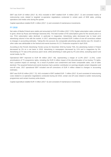EBIT was EUR 10 million (2017: 8). IACs included in EBIT totalled EUR -6 million (2017: -2) and consisted mainly of restructuring costs related to targeted co-operative negotiations conducted in certain parts of B2B sales, printing operations and media units during the quarter.

Capital expenditure totalled EUR 1 million (2017: 1) and consisted of maintenance investments.

#### **FY 2018**

Net sales of Media Finland were stable and amounted to EUR 579 million (2017: 570). Digital subscription sales continued to grow, driven by Ruutu and Helsingin Sanomat (HS). The total number of HS subscriptions grew for the second year in a row. Print subscription sales declined, in particular in magazines. Advertising sales decreased due to lower print advertising volume in line with the market. In 2017, advertising sales included EUR 3 million of one-off corrections related to changes in accounting estimates. Taking this into account, the comparable advertising sales decline was 4%. Growth in other sales was attributable to the festival and events business N.C.D. Production acquired in April 2018.

According to the Finnish Advertising Trends survey for December 2018 by Kantar TNS, the advertising market in Finland decreased by 2% on a net basis in 2018. Advertising in newspapers decreased by 11% and in magazines by 5%. Advertising on TV was at the previous year's level, while advertising in radio grew by 4% and online, excluding search and social media, by 3%.

Operational EBIT improved to EUR 69 million (2017: 66), representing a margin of 11.9% (2017: 11.5%). Lower amortisations of TV programme rights, including the EUR 6 million impact of the discontinuation of ice-hockey TV-rights, had a positive impact on earnings. As a result of prudent cost containment and lower comparable sales, cost of sales declined. The acquired festival and events business had a positive contribution on earnings despite certain integration and one-off costs. 2017 operational EBIT included one-off corrections of EUR 4 million related to changes in accounting estimates.

EBIT was EUR 62 million (2017: 72). IACs included in EBIT totalled EUR -7 million (2017: 6) and consisted of restructuring costs related to co-operative negotiations conducted during Q4 2018, certain one-off costs related to earlier restructuring programmes and certain inventory write-downs.

Capital expenditure totalled EUR 4 million (2017: 6) and consisted of maintenance investments.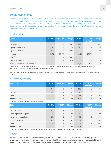### **Media Netherlands**

Sanoma Media Netherlands includes the Dutch consumer media operations, Home Deco media operations in Belgium and the press distribution business Aldipress. We have a leading cross media portfolio with strong brands and market positions in magazines, news, events, custom media, e-commerce, websites and apps. Through combining content and customer data, we develop successful marketing solutions for our clients. In total, Sanoma Media Netherlands reaches nearly 12 million consumers every month.

#### **Key indicators**

| <b>EUR million</b>                | Q4 2018 | Q4 2017 | <b>Change</b> | <b>FY 2018</b> | <b>FY 2017</b><br>adjusted | <b>Change</b> |
|-----------------------------------|---------|---------|---------------|----------------|----------------------------|---------------|
|                                   |         |         |               |                |                            |               |
| Net sales                         | 113.8   | 116.9   | $-3%$         | 424.0          | 439.6                      | $-4%$         |
| <b>Operational EBITDA</b>         | 24.7    | 21.9    | 13%           | 81.7           | 77.2                       | 6%            |
| <b>Operational EBIT</b>           | 23.7    | 19.2    | 23%           | 76.6           | 68.1                       | 12%           |
| margin                            | 20.8%   | 16.4%   |               | 18.1%          | 15.5%                      |               |
| EBIT <sup>1</sup>                 | 13.4    | 14.2    | $-5%$         | 58.0           | 55.6                       | 4%            |
| Capital expenditure               | 0.8     | 0.4     | 87%           | 2.3            | 2.2                        | 5%            |
| Average number of employees (FTE) |         |         |               | 1.059          | 1.132                      | $-6\%$        |

 $1)$  Including IACs of EUR -10.3 million in Q4 2018 (2017: -5.0) and EUR -18.5 million in FY 2018 (2017: -12.5). Reconciliation of operational EBITDA and operational EBIT is presented in a separate table on p 21.

Key indicators with reported figures for the comparison periods in 2017, which include the divested Dutch TV operations of SBS, are available on p. 20.

#### **Net sales by category**

| <b>EUR million</b> | Q4 2018 | Q4 2017 | <b>Change</b> | <b>FY 2018</b> | FY 2017<br>adjusted | <b>Change</b> |
|--------------------|---------|---------|---------------|----------------|---------------------|---------------|
| Print              | 64.2    | 64.3    | $0\%$         | 255.1          | 262.1               | $-3%$         |
| Non-print          | 37.0    | 40.4    | $-9%$         | 120.5          | 129.2               | $-7%$         |
| Other              | 12.6    | 12.2    | 3%            | 48.4           | 48.4                | $0\%$         |
| Net sales total    | 113.8   | 116.9   | $-3%$         | 424.0          | 439.6               | $-4%$         |

Other sales mainly include press distribution services.

| <b>EUR million</b>         | Q4 2018 | Q4 2017 | <b>Change</b> | <b>FY 2018</b> | <b>FY 2017</b><br>adjusted | <b>Change</b> |
|----------------------------|---------|---------|---------------|----------------|----------------------------|---------------|
| Circulation sales          | 52.7    | 53.2    | $-1\%$        | 216.8          | 219.7                      | $-1\%$        |
| subscription sales (print) | 35.7    | 35.1    | 2%            | 143.9          | 144.2                      | $0\%$         |
| single copy sales (print)  | 17.0    | 18.1    | $-6%$         | 72.9           | 75.5                       | $-3%$         |
| Advertising sales          | 25.2    | 26.4    | $-5%$         | 84.1           | 89.6                       | $-6%$         |
| Other                      | 35.9    | 37.3    | $-4%$         | 123.0          | 130.3                      | $-6%$         |
| Net sales total            | 113.8   | 116.9   | $-3%$         | 424.0          | 439.6                      | $-4%$         |

Other sales mainly include press distribution and marketing services, event marketing, custom publishing and books.

#### **Q4 2018**

Net sales of Media Netherlands declined slightly to EUR 114 million (2017: 117). The decline was mainly due to the divestment of the Belgian content marketing operations, Head Office, which prior to the divestment was reported in other sales. Circulation sales performed well and were stable. Advertising sales declined in line with the market.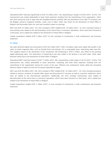Operational EBIT improved significantly to EUR 24 million (2017: 19), representing a margin of 20.8% (2017: 16.4%). The improvement was mainly attributable to lower fixed expenses resulting from the streamlining of the organisation, which was done during the year to align with the simplified business portfolio after the divestment of the SBS TV business and the Belgian women's magazine portfolio. Lower cost of sales, which was driven by the divestment of Head Office in Belgium and favourable sales mix, also had a positive impact on earnings.

EBIT was EUR 13 million (2017: 14). IACs included in EBIT totalled EUR -10 million (2017: -5). IACs consisted mainly of restructuring costs related to the discontinuation of the Home Deco e-commerce operations, which have been licensed to a third party, and a capital loss related to the divestment of Head Office in Belgium.

Capital expenditure totalled EUR 1 million (2017: 0) and consisted of investments in both maintenance and business expansion.

#### **FY 2018**

Net sales declined slightly and amounted to EUR 424 million (2017: 440). Circulation sales were stable with growth in the sales of certain magazine titles, such as Donald Duck and vtwonen. On a comparable basis, advertising sales were flat. The negative impact of the divestment of the comparison site Kieskeurig.nl, EUR 5 million, was offset by the growing digital advertising sales. The divestment of Kieskeurig.nl was also visible in the decline in non-print sales. Other sales declined mainly due to the divestment of Head Office in Belgium.

Operational EBIT improved clearly to EUR 77 million (2017: 68), representing a solid margin of 18.1% (2017: 15.5%). The improvement was mainly attributable to lower personnel, marketing and other fixed expenses resulting from the streamlining of the organisation during the course of the year. Efficient cost containment clearly offset the somewhat adverse impact of sales mix and cost increases especially for paper.

EBIT was EUR 58 million (2017: 56). IACs included in EBIT totalled EUR -19 million (2017: -12). IACs included provisions related to onerous contracts of vacated office space and discontinued IT services as well as a pension settlement, which were all related to the Discontinued operations. Additionally, the IACs included restructuring costs related to discontinuation of the Home Deco e-commerce operations, which have been licensed to a third party, and a capital loss related to the divestment of Head Office in Belgium.

Capital expenditure totalled EUR 2 million (2017: 2) and consisted of investments in both maintenance and business expansion.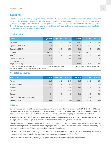### **Learning**

Sanoma Learning is a leading European learning company. We support over 1 million teachers in developing every pupil's talents to the maximum. Through our blended learning solutions, we help to engage pupils in achieving good learning outcomes and support the effective work of the professional teachers in primary, secondary and vocational education. Through our local companies, we contribute to some of the world's best-performing education systems including Poland, the Netherlands, Finland, Belgium and Sweden.

#### **Key indicators**

| <b>EUR million</b>                   | Q4 2018  | Q4 2017  | <b>Change</b> | FY 2018 | FY 2017 | <b>Change</b> |
|--------------------------------------|----------|----------|---------------|---------|---------|---------------|
| Net sales                            | 39.8     | 38.5     | 3%            | 313.3   | 318.3   | $-2%$         |
| <b>Operational EBITDA</b>            | $-6.0$   | $-7.2$   | 17%           | 105.2   | 100.0   | 5%            |
| <b>Operational EBIT</b>              | $-17.8$  | $-21.6$  | 18%           | 61.2    | 55.6    | 10%           |
| margin                               | $-44.7%$ | $-56.0%$ |               | 19.5%   | 17.5%   |               |
| EBIT <sup>1</sup>                    | $-20.0$  | $-23.7$  | 16%           | 56.1    | 43.9    | 28%           |
| Capital expenditure                  | 6.8      | 6.6      | 4%            | 19.8    | 19.2    | 3%            |
| Average number of<br>employees (FTE) |          |          |               | 1,351   | 1,401   | $-4%$         |

 $1$ <sup>1</sup> Including IACs of EUR -2.2 million in Q4 2018 (2017: -2.2) and EUR -5.1 million in FY 2018 (2017: -11.7). Reconciliation of operational EBITDA and operational EBIT is presented in a separate table on p 21.

#### **Net sales by country**

| <b>EUR million</b>               | Q4 2018 | Q4 2017 | <b>Change</b> | FY 2018 | <b>FY 2017</b> | <b>Change</b> |
|----------------------------------|---------|---------|---------------|---------|----------------|---------------|
| Poland                           | 11.8    | 10.3    | 14%           | 91.5    | 100.0          | $-8%$         |
| The Netherlands                  | 10.8    | 10.4    | 4%            | 90.2    | 91.6           | $-1%$         |
| Finland                          | 7.3     | 7.4     | $-1\%$        | 56.0    | 52.4           | 7%            |
| <b>Belgium</b>                   | 5.7     | 6.8     | $-16%$        | 51.7    | 52.2           | $-1%$         |
| Sweden                           | 3.4     | 3.6     | $-4%$         | 21.9    | 22.5           | $-3%$         |
| Other companies and eliminations | 0.7     | 0.0     |               | 2.1     | $-0.4$         |               |
| Net sales total                  | 39.8    | 38.5    | 3%            | 313.3   | 318.3          | $-2%$         |

#### **Q4 2018**

During the structurally small fourth quarter, net sales of Learning grew slightly and amounted to EUR 40 million (2017: 39). Net sales grew in Poland and stabilised in the Netherlands. In Finland, net sales were in line with the previous year, but declined in Belgium. In Sweden, net sales grew in local currency, while declining slightly when converted into euros.

The learning business has, by nature, an annual cycle with strong seasonality. Most of net sales and earnings are accrued during the second and third quarters, while the first and fourth quarters are typically loss-making.

Operational EBIT improved and was EUR -18 million (2017: -22). Earnings improvement was mainly driven by the cost benefits resulting from the business development programme "High Five". The improvement was further supported by net sales growth and release of a provision related to a legal case in Belgium.

EBIT was EUR -20 million (2017: -24). IACs included in EBIT totalled EUR -2 million (2017: -2) and mainly consisted of restructuring expenses related to the ongoing business development programme "High Five".

Capital expenditure was EUR 7 million (2017: 7) and consisted of investments in digital platforms and ICT.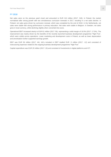#### **FY 2018**

Net sales were on the previous year's level and amounted to EUR 313 million (2017: 318). In Poland, the market normalised after strong growth with two simultaneous curriculum renewals in 2017, resulting in a net sales decline. In Finland, net sales grew driven by curriculum renewal, which was completed by the end of 2018. In the Netherlands, net sales were stable with strong performance in primary education. Net sales were stable in Belgium. In Sweden, net sales grew in local currency, while declining slightly when converted into euros.

Operational EBIT increased clearly to EUR 61 million (2017: 56), representing a solid margin of 19.5% (2017: 17.5%). The improvement was mainly driven by the benefits of the recently launched business development programme "High Five", which were visible across operations. Lower marketing and development costs in Poland, as well as lower depreciation and amortisation further supported earnings growth.

EBIT was EUR 56 million (2017: 44). IACs included in EBIT totalled EUR -5 million (2017: -12) and consisted of restructuring expenses related to the ongoing business development programme "High Five".

Capital expenditure was EUR 20 million (2017: 19) and consisted of investments in digital platforms and ICT.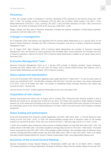#### **Personnel**

In 2018, the average number of employees in full-time equivalents (FTE) employed by the Sanoma Group was 4,463 (2017: 4,746). The average number of employees (FTE) per SBU was as follows: Media Finland 1,781 (2017: 1,744), Media Netherlands 1,059 (2017: 1,316), Learning 1,351 (2017: 1,401) and Other operations 273 (2017: 285). At the end of December, the number of employees (FTE) of the Group was 4,485 (2017: 4,425).

Wages, salaries and fees paid to Sanoma's employees, including the expense recognition of share-based payments, amounted to EUR 316 million (2017: 340).

#### **Changes in management**

On 6 September 2018, Rob Kolkman was appointed CEO for Sanoma Media Netherlands as of 1 January 2019. He will report to Susan Duinhoven, President and CEO of Sanoma Corporation, and will be a member of Sanoma's Executive Management Team.

On 15 August 2018, Marc Duijndam, CEO of Sanoma Media Netherlands and member of Sanoma's Executive Management Team, left Sanoma by mutual agreement with immediate effect. Susan Duinhoven, the President and CEO of Sanoma Corporation, acted as the interim CEO of Sanoma Media Netherlands in addition to her regular duties until 31 December 2018.

### **Executive Management Team**

Sanoma's Executive Management Team as of 1 January 2019 consists of following members: Susan Duinhoven, President and CEO; Markus Holm, CFO and COO; Pia Kalsta, CEO of Sanoma Media Finland; Rob Kolkman, CEO of Sanoma Media Netherlands and John Martin, CEO of Sanoma Learning.

#### **Share capital and shareholders**

At the end of December 2018, Sanoma's registered share capital was EUR 71 million (2017: 71) and the total number of shares was 163,565,663 (2017: 163,565,663), including 1,061,293 (2017: 316,519) own shares. Own shares represented 0.7% (2017: 0.2%) of all shares and votes. The number of outstanding shares excluding Sanoma's own shares was 162,504,370 (2017: 163,249,144).

Sanoma had 20,741 (2017: 20,393) registered shareholders at the end of December 2018.

#### **Acquisition of own shares**

Sanoma repurchased own shares from 22 August until 12 October 2018. During that time, Sanoma acquired a total of 900,000 own shares for an average price of EUR 8.57 per share. The shares were acquired in public trading on Nasdaq Helsinki Ltd. at the market price prevailing at the time of purchase. The repurchased shares were acquired on the basis of the authorisation given by the Annual General Meeting on 22 March 2018 to be used as part of the Company's incentive programme.

#### **Share trading and performance**

At the end of December 2018, Sanoma's market capitalisation was EUR 1,380 million (2017: 1,775) with Sanoma's share closing at EUR 8.49 (2017: 10.87). In 2018, the volume-weighted average price of Sanoma's share on the Nasdaq Helsinki Ltd. was EUR 9.28 (2017: 8.90), with a low of EUR 8.01 (2017: 7.58) and a high of EUR 11.47 (2017: 12.03).

In 2018, the cumulative value of Sanoma's share turnover on Nasdaq Helsinki Ltd. was EUR 365 million (2017: 322). The trading volume of 39 million (2017: 36) shares equalled an average daily turnover of 157k (2017: 144k) shares. The traded shares accounted for some 24% (2017: 22%) of the average number of shares. The cumulative value of Sanoma's share turnover including alternative trading venues was EUR 805 million (2017: 699). In 2018, 55% (2017: 54%) of all trading took place outside Nasdaq Helsinki Ltd. (Source: Fidessa Fragmentation Index, www.fragmentation.fidessa.com).

### **Decisions of the Annual General Meeting**

Sanoma Corporation's Annual General Meeting of Shareholders (AGM) was held on 22 March 2018 in Helsinki. The meeting adopted the Financial Statements, the Board of Directors' Report and the Auditors' Report for the year 2017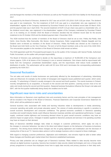and discharged the members of the Board of Directors as well as the President and CEO from liability for the financial year 2017.

As proposed by the Board of Directors, dividend for 2017 was set at EUR 0.35 (2016: EUR 0.20) per share. The dividend was paid in two instalments. The first instalment of EUR 0.20 was paid to a shareholder who was registered in the shareholders' register of the Company maintained by Euroclear Finland Ltd on the dividend record date 26 March 2018, and the payment date was 4 April 2018. The second instalment of EUR 0.15 per share was paid to a shareholder who, on the dividend record date, was registered in the shareholders' register of the Company maintained by Euroclear Finland Ltd. In its meeting on 23 October 2018 the Board of Directors decided that the dividend record date for the second instalment to be 25 October 2018 and the dividend payment date 1 November 2018.

The AGM resolved that the number of members of the Board of Directors shall be set at nine. Pekka Ala-Pietilä, Antti Herlin, Anne Brunila, Mika Ihamuotila, Nils Ittonen, Denise Koopmans, Robin Langenskiöld, Rafaela Seppälä and Kai Öistämö were re-elected as members of the Board of Directors. Pekka Ala-Pietilä was elected as the Chairman of the Board and Antti Herlin as the Vice Chairman. The term of all the Board members ends at the end of the AGM 2019. The remuneration payable to the members of the Board of Directors shall remain as before.

The AGM appointed audit firm PricewaterhouseCoopers Oy as the auditor of the Company with Samuli Perälä, Authorised Public Accountant, as the auditor with principal responsibility.

The Board of Directors was authorised to decide on the repurchase a maximum of 16,000,000 of the Company's own shares (approx. 9.8% of all shares of the Company) in one or several instalments. Own shares shall be repurchased with funds from the Company's unrestricted shareholders' equity, and the repurchases shall reduce funds available for distribution of profits. The authorisation will be valid until 30 June 2019 and it terminates the corresponding authorisation granted by the AGM 2017.

### **Seasonal fluctuation**

The net sales and results of media businesses are particularly affected by the development of advertising. Advertising sales are influenced, for example, by the number of newspaper and magazine issues published each quarter, which varies annually. TV advertising in Finland is usually strongest in the second and fourth quarters. The events business in Finland, recently strengthened by an acquisition, is focused on the second and third quarters. Learning accrues most of its net sales and results during the second and third quarters. Seasonal business fluctuations influence the Group's net sales and EBIT, with the first quarter traditionally being clearly the smallest one for both.

#### **Significant near-term risks and uncertainties**

More information on Sanoma's most significant risks and uncertainty factors and the main principles of risk management will be included in the Report of the Board of Directors, Financial Statements and Corporate Governance Statement for 2018, which will be published on week 10.

General business risks associated with media and learning industries relate to developments in media advertising, consumer spending and public and private education spend. The volume of media advertising in specific is sensitive to overall economic development and consumer confidence. The general economic conditions in Sanoma's operating countries and overall industry trends could influence Sanoma's business activities and operational performance. In paper supply, continued market tightness and increasing demand driven by good overall economic conditions may have an adverse impact on paper prices. Changes in taxation applied to Sanoma's products and services in its operating countries may have an impact on their demand.

Many of Sanoma's identified strategic risks relate to changes in customer preferences, which apply not only to the changes in consumer behaviour, but also to the direct and indirect impacts on the behaviour of business-to-business customers. The driving forces behind these changes are the on-going digitisation and mobilisation and the decrease of viewing time of free-to-air TV. Sanoma takes actions in all its strategic business units to respond to these challenges.

With regard to changing customer preferences, digitisation and mobilisation, new entrants might be able to better utilise these changes and therefore gain market share from Sanoma's established businesses.

Privacy and data protection are an integral part of Sanoma's business. Risks related to data security become more relevant as digital business is growing. Sanoma has invested in data security related technologies and runs a Group-wide privacy programme to ensure that employees know how to apply data security and privacy practices in their daily work.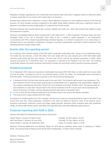Regulatory changes regarding the use of subscriber and customer data could have a negative impact on Sanoma's ability to acquire subscribers for its content and to utilise data in its business.

Sanoma faces political risks in particular in Poland, where legislative changes can have significant impacts on the learning business. EU level changes currently considered for the Digital Single Market Initiative could have a significant impact on Sanoma's cost efficient access to high quality TV content for the Finnish market.

Sanoma's financial risks include interest rate, currency, liquidity and credit risks. Other risks include risks related to equity and impairment of assets.

Sanoma's consolidated balance sheet included EUR 1,186 million (2017: 1,185) of goodwill, immaterial rights and other intangible assets at the end of December 2018. Most of this is related to media operations in the Netherlands. In accordance with IFRS, instead of goodwill being amortised regularly, it is tested for impairment on an annual basis, or whenever there is any indication of impairment. Changes in business fundamentals could lead to further impairment, thus impacting Sanoma's equity-related ratios.

### **Events after the reporting period**

On 4 February 2019, Sanoma signed a EUR 550 million syndicated credit facility with a group of nine relationship banks. The facility has two tranches, a EUR 250 million term loan facility with four year maturity and a EUR 300 million bullet revolving credit facility with five year maturity. The term loan will be used for the intended acquisition of Iddink, which Sanoma announced on 11 December 2018. The acquisition is expected to be finalised in Q2–Q3 2019. The revolving credit facility replaces the earlier revolving credit facility of similar size and will be used for general corporate purposes.

### **Dividend proposal**

On 31 December 2018, Sanoma Corporation's distributable funds were EUR 486 million, of which profit for the year made up EUR 85 million. Including the fund for non-restricted equity of EUR 210 million, the distributable funds amounted to EUR 695 million. The Board of Directors proposes to the Annual General Meeting that:

- A dividend of EUR 0.45 per share shall be paid for the year 2018. The dividend shall be paid in two instalments. The first instalment of EUR 0.25 per share shall be paid to a shareholder who is registered in the shareholders' register of the company maintained by Euroclear Finland Ltd on the dividend record date 29 March 2019. The payment date for this instalment is 5 April 2019. Record date for the second instalment of EUR 0.20 per share will be decided by the Board of Directors in October, and the estimated payment date will be in November 2019.
- A sum of EUR 350,000 shall be transferred to the donation reserve and used at the Board's discretion.
- The amount left in equity shall be EUR 622 million.

According to its dividend policy from 2017 onwards, Sanoma aims to pay an increasing dividend, equal to 40–60% of the annual free cash flow. When proposing a dividend to the AGM, the Board of Directors looks at the general macroeconomic environment, Sanoma's current and target capital structure, Sanoma's future business plans and investment needs, as well as both previous year's cash flows and expected future cash flows affecting capital structure.

### **Financial reporting and AGM in 2019**

Sanoma will publish the following financial reports during 2019:

| Interim Report 1 January–31 March 2019     | Tuesday, 30 April, approx. at 8:30  |
|--------------------------------------------|-------------------------------------|
| Half-Year Report 1 January-30 June 2019    | Thursday, 25 July, approx. at 8:30  |
| Interim Report 1 January–30 September 2019 | Friday, 25 October, approx. at 8:30 |

Sanoma's Financial Statements and Directors' Report for 2018 will be published during week 10 (starting on 4 March 2019). The Annual General Meeting 2019 will be held on Wednesday, 27 March 2019 in Helsinki.

Helsinki, 5 February 2019

Board of Directors Sanoma Corporation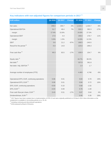### **Key indicators with non-adjusted figures for comparison periods in 2017 1)**

| <b>EUR million</b>                          | Q4 2018 | Q4 2017 | <b>Change</b> | FY 2018 | FY 2017  | <b>Change</b> |
|---------------------------------------------|---------|---------|---------------|---------|----------|---------------|
| Net sales                                   | 298.0   | 305.7   | $-3%$         | 1,315.4 | 1,434.7  | $-8%$         |
| <b>Operational EBITDA</b>                   | 51.7    | 48.4    | 7%            | 326.3   | 392.3    | $-17%$        |
| margin                                      | 17.4%   | 15.8%   |               | 24.8%   | 27.3%    |               |
| <b>Operational EBIT</b>                     | 17.6    | 4.4     |               | 196.6   | 176.7    | 11%           |
| margin                                      | 5.9%    | 1.5%    |               | 14.9%   | 12.3%    |               |
| <b>EBIT</b>                                 | 0.6     | 21.2    | $-97%$        | 168.5   | $-240.5$ |               |
| Result for the period <sup>2)</sup>         | $-5.0$  | 14.8    |               | 125.6   | $-299.3$ |               |
|                                             |         |         |               |         |          |               |
| Free cash flow $2$ )                        | 69.3    | 83.5    | $-17%$        | 108.9   | 104.7    | 4%            |
|                                             |         |         |               |         |          |               |
| Equity ratio $2$                            |         |         |               | 44.7%   | 38.2%    |               |
| Net debt $2)$                               |         |         |               | 337.8   | 391.8    |               |
| Net debt / Adj. EBITDA <sup>2)</sup>        |         |         |               | 1.4     | 1.7      |               |
|                                             |         |         |               |         |          |               |
| Average number of employees (FTE)           |         |         |               | 4,463   | 4,746    | $-6%$         |
|                                             |         |         |               |         |          |               |
| Operational EPS, EUR, continuing operations | 0.06    | 0.01    |               | 0.83    | 0.70     | 19%           |
| Operational EPS, EUR <sup>2)</sup>          | 0.06    | 0.01    |               | 0.84    | 0.72     | 16%           |
| EPS, EUR, continuing operations             | $-0.03$ | 0.10    |               | 0.68    | $-1.02$  |               |
| EPS, EUR $^{2)}$                            | $-0.03$ | 0.09    |               | 0.76    | $-1.00$  |               |
| Free cash flow per share, EUR $^{2)}$       | 0.43    | 0.51    | $-17%$        | 0.67    | 0.64     | 4%            |
| Dividend/share, EUR 3)                      |         |         |               | 0.45    | 0.35     | 29%           |

<sup>1)</sup> 2017 figures have been restated due to implementation of IFRS 15 and were originally published on 29 March 2018. More information on the restatement is available in Accounting policies on p. 25–26.

2) Including continuing and discontinued operations.

<sup>3)</sup> 2018 proposal by Board of Directors.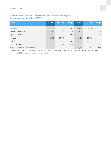#### **Key indicators of Media Netherlands with non-adjusted figures for comparison periods in 2017 1)**

| <b>EUR million</b>                | Q4 2018 | Q4 2017 | <b>Change</b> | FY 2018 | FY 2017  | <b>Change</b> |
|-----------------------------------|---------|---------|---------------|---------|----------|---------------|
| Net sales                         | 113.8   | 116.9   | $-3%$         | 424.0   | 546.4    | $-22%$        |
| <b>Operational EBITDA</b>         | 24.7    | 21.9    | 13%           | 81.7    | 141.0    | $-42%$        |
| <b>Operational EBIT</b>           | 23.7    | 19.2    | 23%           | 76.6    | 65.8     | 16%           |
| margin                            | 20.8%   | 16.4%   |               | 18.1%   | 12.0%    |               |
| EBIT <sup>1</sup>                 | 13.4    | 14.2    | $-5%$         | 58.0    | $-366.0$ |               |
| Capital expenditure               | 0.8     | 0.4     | 87%           | 2.3     | 4.0      | $-43%$        |
| Average number of employees (FTE) |         |         |               | 1,059   | 1,316    | $-20%$        |

1) Including IAC of EUR -10.3 million in Q4 2018 (2017: -5.0) and EUR -18.5 million 2018 (2017: -437.1). Full reconciliation of operational EBITDA and operational EBIT is presented in a separate table on p. 21.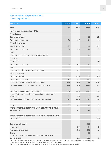### **Reconciliation of operational EBIT**

### Continuing operations

| <b>EUR million</b>                                                                | Q4 2018 | Q4 2017 | FY 2018 | FY 2017  |
|-----------------------------------------------------------------------------------|---------|---------|---------|----------|
| <b>EBIT</b>                                                                       | 0.6     | 21.2    | 168.5   | $-240.5$ |
| Items affecting comparability (IACs)                                              |         |         |         |          |
| <b>Media Finland</b>                                                              |         |         |         |          |
| Capital gains /losses                                                             |         |         | 2.3     | 10.8     |
| Restructuring expenses                                                            | $-6.2$  | $-1.7$  | $-9.4$  | $-4.5$   |
| <b>Media Netherlands</b>                                                          |         |         |         |          |
| Capital gains /losses <sup>1)</sup>                                               | $-2.7$  |         | $-2.7$  | $-424.9$ |
| Restructuring expenses                                                            | $-7.5$  | $-5.0$  | $-19.4$ | $-12.1$  |
| <b>Others</b>                                                                     |         |         |         |          |
| Settlement of Belgian defined benefit pension plan                                |         |         | 3.6     |          |
| Learning                                                                          |         |         |         |          |
| Impairments                                                                       |         |         |         | $-7.8$   |
| Restructuring expenses                                                            | $-2.2$  | $-2.1$  | $-5.1$  | $-6.2$   |
| <b>Others</b>                                                                     |         |         |         |          |
| Settlement of defined benefit pension plans                                       |         | $-0.1$  |         | 2.3      |
| <b>Other companies</b>                                                            |         |         |         |          |
| Capital gains /losses                                                             | 0.3     | 25.8    | 2.7     | 25.8     |
| Restructuring expenses                                                            | 1.3     | $-0.2$  | $-0.1$  | $-0,5$   |
| <b>ITEMS AFFECTING COMPARABILITY (IACs)</b>                                       | $-17.0$ | 16.8    | $-28.2$ | $-417.2$ |
| OPERATIONAL EBIT, CONTINUING OPERATIONS                                           | 17.6    | 4.4     | 196.6   | 176.7    |
|                                                                                   |         |         |         |          |
| Depreciation, amortization and impairments                                        | 35.0    | 44.3    | 130.8   | 191.0    |
| Items affecting comparability in depreciation, amortization and<br>impairments    | 0.9     | 0.4     | 1.1     | $-24.6$  |
| OPERATIONAL EBITDA, CONTINUING OPERATIONS                                         | 51.7    | 48.4    | 326.3   | 392.3    |
|                                                                                   |         |         |         |          |
| Impairments                                                                       | 0.7     | $-0.1$  | 0.7     | $-0.1$   |
| <b>ITEMS AFFECTING COMPARABILITY IN FINANCIAL INCOME</b>                          |         |         |         |          |
| <b>AND EXPENSES</b>                                                               | 0.7     | $-0.1$  | 0.7     | $-0.1$   |
|                                                                                   |         |         |         |          |
| <b>ITEMS AFFECTING COMPARABILITY IN NON-CONTROLLING</b><br>INTEREST <sup>1)</sup> |         |         |         | 138.4    |
| Capital gains/losses <sup>2)</sup>                                                |         |         | 33.0    |          |
| Impairments                                                                       |         | $-2.5$  | $-0.4$  | $-2.5$   |
| Restructuring expenses                                                            |         | $-0.1$  | $-20.9$ | $-0.5$   |
| <b>Others</b>                                                                     |         |         | 3.6     |          |
| <b>ITEMS AFFECTING COMPARABILITY IN DISCONTINUED</b><br><b>OPERATIONS</b>         |         | $-2.6$  | 15.3    | $-3.1$   |

<sup>1)</sup> In 2017, the capital loss of EUR -424.2 million and a EUR 138.3 million adjustment in non-controlling interests were related to the SBS divestment. Total impact of the transaction in the net result was EUR -286.2 million.

 $^{2)}$  In 2018, the capital gain of EUR 33.0 million is related to the divestment of Belgian women's magazine portfolio.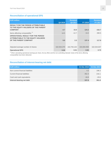### **Reconciliation of operational EPS**

| <b>EUR million</b>                                                                    | Q4 2018     | <b>Restated</b><br>Q4 2017 | <b>FY 2018</b> | <b>Restated</b><br>FY 2017 |
|---------------------------------------------------------------------------------------|-------------|----------------------------|----------------|----------------------------|
| <b>RESULT FOR THE PERIOD ATTRIBUTABLE</b><br>TO THE EQUITY HOLDERS OF THE PARENT      |             |                            |                |                            |
| <b>COMPANY</b>                                                                        | $-4.7$      | 15.0                       | 124.2          | $-162.7$                   |
| Items affecting comparability $1$ )                                                   | 14.5        | $-12.7$                    | 13.2           | 280.5                      |
| <b>OPERATIONAL RESULT FOR THE PERIOD</b><br><b>ATTRIBUTABLE TO THE EQUITY HOLDERS</b> |             |                            |                |                            |
| OF THE PARENT COMPANY                                                                 | 9.8         | 2.3                        | 137.4          | 117.8                      |
|                                                                                       |             |                            |                |                            |
| Adjusted average number of shares                                                     | 162,504,370 | 162,794,102                | 163,084,958    | 162,544,637                |
| <b>Operational EPS</b>                                                                | 0.06        | 0.01                       | 0.84           | 0.72                       |

 $1)$  When calculating operational earnings per share, the tax effect and the non-controlling interests' share of the items affecting comparability have been deducted.

### **Reconciliation of interest-bearing net debt**

| <b>EUR million</b>                | 31 Dec 2018 | 31 Dec 2017 |
|-----------------------------------|-------------|-------------|
| Non-current financial liabilities | 4.3         | 196.3       |
| Current financial liabilities     | 352.4       | 216.1       |
| Cash and cash equivalents         | $-18.8$     | $-20.6$     |
| Interest-bearing net debt         | 337.8       | 391.8       |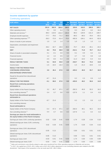### **Income statement by quarter**

### Continuing operations

| <b>EUR million</b>                                                                         | Q <sub>1</sub> | Q2           | Q3                | Q <sub>4</sub>  | <b>Restated</b>          | <b>Restated</b> | <b>Restated</b>          | <b>Restated</b> |
|--------------------------------------------------------------------------------------------|----------------|--------------|-------------------|-----------------|--------------------------|-----------------|--------------------------|-----------------|
|                                                                                            | 2018           | 2018         | 2018              | 2018            | Q1 2017                  | Q2 2017         | Q3 2017                  | Q4 2017         |
| <b>NET SALES</b>                                                                           | 261.6<br>6.2   | 362.9<br>9.0 | 393.0<br>6.4      | 298.0           | 329.8                    | 418.5<br>16.0   | 380.8                    | 305.7<br>34.4   |
| Other operating income<br>Materials and services <sup>1)</sup>                             | $-88.3$        | $-119.0$     | $-152.2$          | 7.9<br>$-106.8$ | 8.3<br>$-98.3$           | $-129.9$        | 6.0<br>$-131.3$          | $-109.7$        |
| Employee benefit expenses                                                                  | $-77.7$        | $-78.5$      | $-71.2$           | $-88.6$         | $-89.3$                  | $-89.3$         | $-78.4$                  | $-83.1$         |
| Other operating expenses $^{1,2)}$                                                         | $-58.3$        | $-72.0$      | $-61.4$           | $-76.4$         | $-492.9$                 | $-104.1$        | $-64.4$                  | $-82.8$         |
| Share of results in joint ventures                                                         | 1.0            | 1.0          | 1.4               | 1.5             | 1.0                      | 1.3             | 1.0                      | 1.1             |
| Depreciation, amortisation and impairment                                                  |                |              |                   |                 |                          |                 |                          |                 |
| losses                                                                                     | $-36.2$        | $-32.7$      | $-26.9$           | $-35.0$         | $-70.7$                  | $-40.8$         | $-35.1$                  | $-44.3$         |
| <b>EBIT</b>                                                                                | 8.4            | 70.6         | 88.9              | 0.6             | $-412.1$                 | 71.8            | 78.7                     | 21.2            |
| Share of results in associated companies                                                   | 0.1            | $-0.1$       | 0.0               | 0.0             | 0.1                      | 0.9             | 0.2                      | 0.1             |
| Financial income                                                                           | 1.2            | 2.2          | 0.5               | 1.2             | 4.7                      | 5.5             | 0.8                      | 1.8             |
| Financial expenses                                                                         | $-4.5$         | $-8.0$       | $-5.4$            | $-4.6$          | $-11.3$                  | $-10.0$         | $-5.4$                   | $-9.4$          |
| <b>RESULT BEFORE TAXES</b>                                                                 | 5.1            | 64.8         | 84.0              | $-2.8$          | $-418.7$                 | 68.2            | 74.3                     | 13.8            |
| Income taxes                                                                               | $-1.5$         | $-18.4$      | $-16.4$           | $-2.1$          | $-1.5$                   | $-21.3$         | $-18.6$                  | 2.2             |
| <b>RESULT FOR THE PERIOD FROM</b>                                                          |                |              |                   |                 |                          |                 |                          |                 |
| <b>CONTINUING OPERATIONS</b>                                                               | 3.6            | 46.4         | 67.6              | $-5.0$          | $-420.2$                 | 46.9            | 55.7                     | 16.0            |
| <b>DISCONTINUED OPERATIONS</b>                                                             |                |              |                   |                 |                          |                 |                          |                 |
| Result for the period from discontinued                                                    |                |              |                   |                 |                          |                 |                          |                 |
| operations                                                                                 | $-8.7$         | 21.6         |                   |                 | 0.2                      | 2.3             | 0.9                      | $-1.2$          |
| <b>RESULT FOR THE PERIOD</b>                                                               | $-5.1$         | 68.0         | 67.6              | $-5.0$          | $-420.0$                 | 49.2            | 56.6                     | 14.8            |
| <b>Result from continuing operations</b><br>attributable to:                               |                |              |                   |                 |                          |                 |                          |                 |
| Equity holders of the Parent Company                                                       | 3.2            | 45.7         | 67.1              | $-4.7$          | $-282.3$                 | 45.9            | 55.3                     | 16.2            |
| Non-controlling interests <sup>2)</sup>                                                    | 0.4            | 0.7          | 0.6               | $-0.3$          | $-137.9$                 | 1.1             | 0.4                      | $-0.2$          |
| <b>Result from discontinued operations</b><br>attributable to:                             |                |              |                   |                 |                          |                 |                          |                 |
| Equity holders of the Parent Company                                                       | $-8.7$         | 21.6         |                   |                 | 0.2                      | 2.3             | 0.9                      | $-1.2$          |
| Non-controlling interests                                                                  |                |              |                   |                 | $\overline{\phantom{m}}$ |                 | $\overline{\phantom{a}}$ |                 |
| <b>Result attributable to:</b>                                                             |                |              |                   |                 |                          |                 |                          |                 |
| Equity holders of the Parent Company                                                       | $-5.4$         | 67.3         | 67.1              | $-4.7$          | $-282.0$                 | 48.1            | 56.2                     | 15.0            |
| Non-controlling interests <sup>2)</sup>                                                    | 0.4            | 0.7          | 0.6               | $-0.3$          | $-137.9$                 | 1.1             | 0.4                      | $-0.2$          |
| Earnings per share for result attributable to<br>the equity holders of the Parent Company: |                |              |                   |                 |                          |                 |                          |                 |
| Earnings per share, EUR, continuing operations                                             | 0.02           | 0.28         | 0.41              | $-0.03$         | $-1.74$                  | 0.28            | 0.34                     | 0.10            |
| Diluted earnings per share, EUR, continuing                                                |                |              |                   |                 |                          |                 |                          |                 |
| operations                                                                                 | 0.02           | 0.28         | 0.41              | $-0.03$         | $-1.74$                  | 0.28            | 0.34                     | 0.10            |
| Earnings per share, EUR, discontinued<br>operations                                        | $-0.05$        | 0.13         |                   |                 | 0.00                     | 0.01            | 0.01                     | $-0.01$         |
| Diluted earnings per share, EUR, discontinued                                              |                |              |                   |                 |                          |                 |                          |                 |
| operations                                                                                 | $-0.05$        | 0.13         | $\qquad \qquad -$ |                 | 0.00                     | 0.01            | 0.01                     | $-0.01$         |
| Earnings per share, EUR                                                                    | $-0.03$        | 0.41         | 0.41              | $-0.03$         | $-1.74$                  | 0.30            | 0.35                     | 0.09            |
| Diluted earnings per share, EUR                                                            | $-0.03$        | 0.41         | 0.41              | $-0.03$         | $-1.74$                  | 0.30            | 0.34                     | 0.09            |

<sup>1)</sup> Sales and commission costs directly related to sales were transferred from Other operating expenses to Materials and services.

<sup>2)</sup> In 2017, the capital loss of EUR -424.2 million and a EUR 138.3 million adjustment in non-controlling interests were related to the SBS divestment. Total impact of the transaction in the net result was EUR -286.2 million.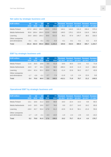### **Net sales by strategic business unit**

| <b>EUR million</b>                  | Q <sub>1</sub><br>2018 | Q <sub>2</sub><br>2018 | Q3<br>2018 | Q <sub>4</sub><br>2018 | <b>FY</b><br>2018 | Q1 2017 | Q2 2017 | Q3 2017 | <b>Restated Restated Restated Restated Restated</b><br>Q4 2017 | <b>FY 2017</b> |
|-------------------------------------|------------------------|------------------------|------------|------------------------|-------------------|---------|---------|---------|----------------------------------------------------------------|----------------|
| Media Finland                       | 137.0                  | 146.2                  | 150.7      | 144.5                  | 578.5             | 144.1   | 144.5   | 131.3   | 150.4                                                          | 570.4          |
| Media Netherlands                   | 95.8                   | 108.4                  | 106.0      | 113.8                  | 424.0             | 149.5   | 176.1   | 103.9   | 116.9                                                          | 546.4          |
| Learning                            | 28.9                   | 108.3                  | 136.3      | 39.8                   | 313.3             | 36.2    | 97.9    | 145.7   | 38.5                                                           | 318.3          |
| Other companies<br>and eliminations | $-0.1$                 | $-0.1$                 | $-0.1$     | $-0.2$                 | $-0.4$            | $-0.1$  | $-0.1$  | $-0.1$  | $-0.2$                                                         | $-0.4$         |
| <b>Total</b>                        | 261.6                  | 362.9                  | 393.0      | 298.0                  | 1.315.4           | 329.8   | 418.5   | 380.8   | 305.7                                                          | 1.434.7        |

### **EBIT by strategic business unit**

| <b>EUR million</b>                  | Q <sub>1</sub><br>2018 | Q <sub>2</sub><br>2018 | Q3<br>2018 | Q <sub>4</sub><br>2018 | <b>FY</b><br>2018 | Q1 2017  | Q2 2017 | Q3 2017 | Restated Restated Restated Restated Restated<br>Q4 2017 | <b>FY 2017</b> |
|-------------------------------------|------------------------|------------------------|------------|------------------------|-------------------|----------|---------|---------|---------------------------------------------------------|----------------|
| Media Finland                       | 11.6                   | 20.5                   | 19.8       | 9.9                    | 61.8              | 19.6     | 30.5    | 13.5    | 8.2                                                     | 71.8           |
| Media Netherlands                   | 16.9                   | 8.7                    | 19.1       | 13.4                   | 58.0              | $-408.4$ | 16.9    | 11.3    | 14.2                                                    | $-366.0$       |
| Learning                            | $-18.4$                | 42.4                   | 52.1       | $-20.0$                | 56.1              | $-11.4$  | 22.8    | 56.2    | $-23.7$                                                 | 43.9           |
| Other companies<br>and eliminations | $-1.7$                 | $-0.9$                 | $-2.1$     | $-2.7$                 | $-7.4$            | $-11.8$  | 1.5     | $-2.4$  | 22.6                                                    | 9.8            |
| <b>Total</b>                        | 8.4                    | 70.6                   | 88.9       | 0.6                    | 168.5             | $-412.1$ | 71.8    | 78.7    | 21.2                                                    | $-240.5$       |

### **Operational EBIT by strategic business unit**

| <b>EUR million</b>                  | Q <sub>1</sub><br>2018 | lQ2<br>2018 | Q <sub>3</sub><br>2018 | Q <sub>4</sub><br>2018 | <b>FY</b><br>2018 | Q1 2017 | Q2 2017 | Q3 2017 | Restated Restated Restated Restated Restated<br>Q4 2017 | <b>FY 2017</b> |
|-------------------------------------|------------------------|-------------|------------------------|------------------------|-------------------|---------|---------|---------|---------------------------------------------------------|----------------|
| Media Finland                       | 13.1                   | 18.6        | 21.2                   | 16.0                   | 68.8              | 19.0    | 22.4    | 14.2    | 9.8                                                     | 65.5           |
| Media Netherlands                   | 14.9                   | 19.5        | 18.6                   | 23.7                   | 76.6              | 8.9     | 23.7    | 14.0    | 19.2                                                    | 65.8           |
| Learning                            | $-18.0$                | 43.7        | 53.4                   | $-17.8$                | 61.2              | $-10.9$ | 31.9    | 56.1    | $-21.6$                                                 | 55.6           |
| Other companies<br>and eliminations | $-1.7$                 | $-1.9$      | $-2.1$                 | $-4.3$                 | $-10.0$           | $-1.9$  | $-2.4$  | $-2.9$  | $-3.0$                                                  | $-10.2$        |
| <b>Total</b>                        | 8.2                    | 79.8        | 91.0                   | 17.6                   | 196.6             | 15.2    | 75.7    | 81.4    | 4.4                                                     | 176.7          |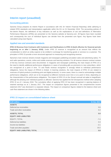### **Interim report (unaudited)**

#### **Accounting policies**

Sanoma Group prepares its Interim Report in accordance with IAS 34 'Interim Financial Reporting' while adhering to related IFRS standards and interpretations applicable within the EU on 31 December 2018. The accounting policies of the Interim Report, the definitions of key indicators as well as the explanations of use and definitions of Alternative Performance Measures (APMs) are presented on the Sanoma website at Sanoma.com. All figures have been rounded and consequently the sum of individual figures can deviate from the presented sum figure. Key figures have been calculated using exact figures.

#### **Applied new and amended standards**

**IFRS 15 Revenue from Contracts with Customers and Clarifications to IFRS 15 (both effective for financial periods beginning on or after 1 January 2018).** Under IFRS 15 revenue is recognised at an amount that reflects the consideration to which an entity expects to be entitled in exchange for transferring goods or services to a customer. The principles in IFRS 15 provide a more structured approach to measuring and recognising revenue.

Sanoma's main revenue streams include magazine and newspaper publishing (circulation sales and advertising sales), TV and radio operations, events, online and mobile revenues and learning solutions. For all revenue streams contract reviews of the key revenue contracts were documented. In magazine and newspaper publishing, the main impact of IFRS 15 is the need to identify additional performance obligations in cases of providing gifts as premiums to new subscribers, which are recognized at a point in time. TV and Radio revenue recognition is strongly linked to individual performance obligations, hence the impact of IFRS15 is limited. In learning solutions, the main impacts of IFRS 15 are related to revenues of hybrid products (combining print and digital products). In some cases, there is a need to acknowledge multiple performance obligations, which are to be recognised at different moments (over time or at a point in time), depending on the characteristics of the performance obligations. The impact of IFRS 15 on the Group's annual net sales is insignificant, although the phasing over individual quarters is affected. Sanoma has applied the full retrospective method when adopting IFRS 15 as of 1 January 2018. The cumulative effect of applying IFRS 15 has been recognized in opening balance of retained earnings as at 1 January 2017. The impact on comparison figures presented in the comprehensive income statement 2017 was disclosed in a separate release. The impact on comparison figures related to the balance sheet and cash flow statement are shown in the following tables.

#### **IFRS 15 impact on consolidated balance sheet**

| 31 Dec 2017 |
|-------------|
|             |
| 0.6         |
| 0.3         |
| 0.9         |
|             |
| $-7.4$      |
| 0.3         |
| $-2.1$      |
| 10.2        |
| 0.9         |
|             |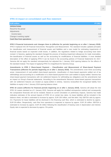#### **IFRS 15 impact on consolidated cash flow statement**

| <b>EUR million</b>               | <b>FY 2017</b> |
|----------------------------------|----------------|
| <b>OPERATIONS</b>                |                |
| Result for the period            | $-1.2$         |
| Adjustments                      |                |
| Income taxes                     | $-0.3$         |
| Change in working capital        | 1.5            |
| <b>Cash flow from operations</b> |                |

**IFRS 9 Financial Instruments and changes there to (effective for periods beginning on or after 1 January 2018).**  IFRS 9 replaced IAS 39 Financial Instruments: Recognition and Measurement. The standard includes updated principles for classification and measurement of financial assets and liabilities and a new model for estimating impairments of financial assets based on expected credit losses. In addition, the regulations related to hedge accounting have been revised. In Sanoma, applying the standard changed the process of booking impairment allowances for trade receivables, the classification of financial assets as well as the accounting for modifications of financial liabilities. A more detailed description of the effect of applying IFRS 9 can be found in the accounting policies of Financial Statements for 2017. Sanoma did not apply the standard retrospectively but adjusted the 1 January 2018 opening balance for the effects of the standard instead. The impact of applying IFRS 9 is insignificant for Sanoma Group.

**Amendments to IFRS 2 Share-based Payment – Classification and Measurement of Share-based Payment Transactions (effective for periods beginning on or after 1 January 2018).** The amendments cover three accounting areas: measurement of cash-settled share-based payments, classification of share-based payments settled net of tax withholdings and accounting for a modification of a share-based payment from cash-settled to equity-settled. Sanoma has share-based payment transactions with net settlement features for withholding tax obligations and the amendments had an impact on Group's financial statements. According to the amendments Sanoma's share-based payment transactions with net settlement features are treated as equity-settled in entirety. Sanoma reclassified the recognised liability from liabilities to equity in the 1 January 2018 opening balance sheet.

**IFRS 16 Leases (effective for financial periods beginning on or after 1 January 2019).** Sanoma will adopt the new IFRS 16 Leases standard as of 1 January 2019. Sanoma will apply the modified retrospective method and consequently the comparative financials will not be restated. Based on current simulation on preliminary impacts, Sanoma has made indicative estimates of the annual impacts of IFRS 16 on certain key ratios. As lease liabilities will be included in the balance sheet, net debt is estimated to increase by approx. EUR 200 million, and Net debt / Adj. EBITDA ratio by approx. 0.6. Payments for lease liabilities will be disclosed in the financing cash flow, which is estimated to decline by approx. EUR 28 million. Respectively, cash flow from operations is expected to improve by approx. EUR 28 million. EBITDA is estimated to increase by approx. EUR 28 million following the classification of leasing costs in depreciation and interest. Equity ratio is expected to decrease by approx. 5%-points.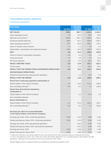### **Consolidated income statement** Continuing operations

| <b>EUR million</b>                                                                         | Q4 2018  | <b>Restated</b><br>Q4 2017 | <b>FY 2018</b> | <b>Restated</b><br>FY 2017 |
|--------------------------------------------------------------------------------------------|----------|----------------------------|----------------|----------------------------|
| <b>NET SALES</b>                                                                           | 298.0    | 305.7                      | 1,315.4        | 1,434.7                    |
| Other operating income                                                                     | 7.9      | 34.4                       | 29.6           | 64.8                       |
| Materials and services <sup>1)</sup>                                                       | $-106.8$ | $-109.7$                   | $-466.4$       | $-469.2$                   |
|                                                                                            | $-88.6$  | $-83.1$                    | $-316.0$       | $-340.1$                   |
| Employee benefit expenses<br>Other operating expenses $^{1,2)}$                            | $-76.4$  | $-82.8$                    | $-268.1$       | $-744.1$                   |
|                                                                                            |          |                            |                |                            |
| Share of results in joint ventures                                                         | 1.5      | 1.1                        | 4.8            | 4.4                        |
| Depreciation, amortisation and impairment losses                                           | $-35.0$  | $-44.3$                    | $-130.8$       | $-191.0$                   |
| <b>EBIT</b>                                                                                | 0.6      | 21.2                       | 168.5          | $-240.5$                   |
| Share of results in associated companies                                                   | 0.0      | 0.1                        | $-0.1$         | 1.4                        |
| Financial income                                                                           | 1.2      | 1.8                        | 5.1            | 12.9                       |
| <b>Financial expenses</b>                                                                  | $-4.6$   | $-9.4$                     | $-22.5$        | $-36.2$                    |
| <b>RESULT BEFORE TAXES</b>                                                                 | $-2.8$   | 13.8                       | 151.1          | $-262.4$                   |
| Income taxes                                                                               | $-2.1$   | 2.2                        | $-38.4$        | $-39.1$                    |
| <b>RESULT FOR THE PERIOD FROM CONTINUING OPERATIONS</b>                                    | $-5.0$   | 16.0                       | 112.7          | $-301.6$                   |
| <b>DISCONTINUED OPERATIONS</b>                                                             |          |                            |                |                            |
| Result for the period from discontinued operations                                         |          | $-1.2$                     | 12.9           | 2.3                        |
| <b>RESULT FOR THE PERIOD</b>                                                               | $-5.0$   | 14.8                       | 125.6          | $-299.3$                   |
| Result from continuing operations attributable to:                                         |          |                            |                |                            |
| Equity holders of the Parent Company                                                       | $-4.7$   | 16.2                       | 111.3          | $-165.0$                   |
| Non-controlling interests <sup>2)</sup>                                                    | $-0.3$   | $-0.2$                     | 1.3            | $-136.6$                   |
| <b>Result from discontinued operations</b><br>attributable to:                             |          |                            |                |                            |
| Equity holders of the Parent Company                                                       |          | $-1.2$                     | 12.9           | 2.3                        |
| Non-controlling interests                                                                  |          |                            |                |                            |
| <b>Result attributable to:</b>                                                             |          |                            |                |                            |
| Equity holders of the Parent Company                                                       | $-4.7$   | 15.0                       | 124.2          | $-162.7$                   |
| Non-controlling interests <sup>2)</sup>                                                    | $-0.3$   | $-0.2$                     | 1.3            | $-136.6$                   |
|                                                                                            |          |                            |                |                            |
| Earnings per share for result attributable<br>to the equity holders of the Parent Company: |          |                            |                |                            |
| Earnings per share, EUR, continuing operations                                             | $-0.03$  | 0.10                       | 0.68           | $-1.02$                    |
| Diluted earnings per share, EUR, continuing operations                                     | $-0.03$  | 0.10                       | 0.68           | $-1.02$                    |
| Earnings per share, EUR, discontinued operations                                           |          | $-0.01$                    | 0.08           | 0.01                       |
| Diluted earnings per share, EUR, discontinued operations                                   |          | $-0.01$                    | 0.08           | 0.01                       |
| Earnings per share, EUR                                                                    | $-0.03$  | 0.09                       | 0.76           | $-1.00$                    |
| Diluted earnings per share, EUR                                                            | $-0.03$  | 0.09                       | 0.76           | $-1.00$                    |

<sup>1)</sup> Sales and commission costs directly related to sales were transferred from Other operating expenses to Materials and services.

2) In 2017, the capital loss of EUR -424.2 million and a EUR 138.3 million adjustment in non-controlling interests were related to the SBS divestment. Total impact of the transaction in the net result was EUR -286.2 million.

Divested Belgian women's magazine portfolio was classified as discontinued operations in 2017.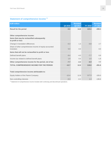# **Statement of comprehensive income 1)**

| <b>EUR million</b>                                                   | Q4 2018 | <b>Restated</b><br>Q4 2017 | FY 2018 | <b>Restated</b><br>FY 2017 |
|----------------------------------------------------------------------|---------|----------------------------|---------|----------------------------|
| <b>Result for the period</b>                                         | $-5.0$  | 14.8                       | 125.6   | $-299.3$                   |
|                                                                      |         |                            |         |                            |
| Other comprehensive income:                                          |         |                            |         |                            |
| Items that may be reclassified subsequently<br>to profit or loss     |         |                            |         |                            |
| Change in translation differences                                    | $-0.3$  | 1.3                        | $-0.8$  | 2.7                        |
| Share of other comprehensive income of equity-accounted<br>investees | 0.0     | 0.0                        |         | 0.0                        |
| Items that will not be reclassified to profit or loss                |         |                            |         |                            |
| Defined benefit plans                                                | $-9.4$  | $-4.0$                     | $-7.7$  | 6.9                        |
| Income tax related to defined benefit plans                          | 1.9     | 0.5                        | 1.5     | $-1.9$                     |
| Other comprehensive income for the period, net of tax                | $-7.7$  | $-2.2$                     | $-6.9$  | 7.7                        |
| <b>TOTAL COMPREHENSIVE INCOME FOR THE PERIOD</b>                     | $-12.7$ | 12.6                       | 118.6   | $-291.6$                   |
|                                                                      |         |                            |         |                            |
| Total comprehensive income attributable to:                          |         |                            |         |                            |
| Equity holders of the Parent Company                                 | $-12.4$ | 12.8                       | 117.3   | $-155.0$                   |
| Non-controlling interests                                            | $-0.3$  | $-0.2$                     | 1.3     | $-136.6$                   |

 $1)$  Statement of comprehensive income includes both continuing and discontinued operations.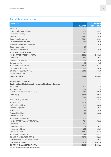#### **Consolidated balance sheet**

| <b>EUR million</b>                                              |             | <b>Restated</b> |
|-----------------------------------------------------------------|-------------|-----------------|
|                                                                 | 31 Dec 2018 | 31 Dec 2017     |
| <b>ASSETS</b>                                                   |             |                 |
| Property, plant and equipment                                   | 37.4        | 44.7            |
| Investment property                                             | 10.3        | 13.9            |
| Goodwill                                                        | 935.7       | 934.6           |
| Other intangible assets                                         | 250.4       | 251.1           |
| Equity-accounted investees                                      | 18.4        | 20.8            |
| Available-for-sale financial assets                             |             | 4.0             |
| Other investments                                               | 3.7         |                 |
| Deferred tax receivables                                        | 9.9         | 18.0            |
| Trade and other receivables                                     | 14.3        | 22.7            |
| NON-CURRENT ASSETS, TOTAL                                       | 1,280.1     | 1,309.8         |
| Inventories                                                     | 36.9        | 40.5            |
| Income tax receivables                                          | 10.4        | 6.9             |
| Contract assets                                                 | 5.2         | 6.2             |
| Trade and other receivables                                     | 167.6       | 203.7           |
| Cash and cash equivalents                                       | 18.8        | 20.6            |
| <b>CURRENT ASSETS, TOTAL</b>                                    | 238.8       | 277.8           |
| Assets held for sale                                            |             | 2.4             |
| <b>ASSETS, TOTAL</b>                                            | 1,519.0     | 1,590.1         |
|                                                                 |             |                 |
| <b>EQUITY AND LIABILITIES</b>                                   |             |                 |
| Equity attributable to the equity holders of the Parent Company |             |                 |
| Share capital                                                   | 71.3        | 71.3            |
| Treasury shares                                                 | $-8.4$      | $-1.4$          |
| Fund for invested unrestricted equity                           | 209.8       | 209.8           |
| Other equity                                                    | 333.8       | 265.8           |
|                                                                 | 606.4       | 545.4           |
| Non-controlling interests                                       | 5.0         | 1.7             |
| EQUITY, TOTAL                                                   | 611.4       | 547.1           |
| Deferred tax liabilities                                        | 32.7        | 38.5            |
| Pension obligations                                             | 8.4         | 9.7             |
| Provisions                                                      | 8.9         | 9.0             |
| <b>Financial liabilities</b>                                    | 4.3         | 196.3           |
| <b>Contract liabilities</b>                                     | 5.1         |                 |
| Trade and other payables                                        | 11.0        | 19.7            |
| NON-CURRENT LIABILITIES, TOTAL                                  | 70.4        | 273.3           |
| Provisions                                                      | 25.1        | 17.1            |
| <b>Financial liabilities</b>                                    | 352.4       | 216.1           |
| Income tax liabilities                                          | 13.3        | 13.0            |
| <b>Contract liabilities</b>                                     | 142.1       | 153.3           |
| Trade and other payables                                        | 304.2       | 359.7           |
| <b>CURRENT LIABILITIES, TOTAL</b>                               | 837.2       | 759.2           |
| Liabilities related to assets held for sale                     |             | 10.6            |
| <b>LIABILITIES, TOTAL</b>                                       | 907.6       | 1,043.0         |
| <b>EQUITY AND LIABILITIES, TOTAL</b>                            | 1,519.0     | 1,590.1         |

Includes continuing and discontinued operations.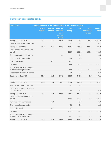### **Changes in consolidated equity**

| <b>EUR million</b><br><b>Equity attributable to the equity holders of the Parent Company</b> |                         |                                  |                                                                   |                        |              |                                         |                  |
|----------------------------------------------------------------------------------------------|-------------------------|----------------------------------|-------------------------------------------------------------------|------------------------|--------------|-----------------------------------------|------------------|
|                                                                                              | <b>Share</b><br>capital | <b>Treasury</b><br><b>shares</b> | <b>Fund for</b><br>invested<br>unre-<br><b>stricted</b><br>equity | <b>Other</b><br>equity | <b>Total</b> | Non-<br>controlling<br><b>interests</b> | Equity,<br>total |
| Equity at 31 Dec 2016                                                                        | 71.3                    | $-2.1$                           | 203.3                                                             | 440.5                  | 713.0        | 289.5                                   | 1,002.5          |
| Effect of IFRS 15 on 1 Jan 2017                                                              |                         |                                  |                                                                   | $-6.1$                 | $-6.1$       |                                         | $-6.1$           |
| Equity at 1 Jan 2017                                                                         | 71.3                    | $-2.1$                           | 203.3                                                             | 434.4                  | 706.8        | 289.5                                   | 996.4            |
| Comprehensive income for the<br>period                                                       |                         |                                  |                                                                   | $-155.0$               | $-155.0$     | $-136.6$                                | $-291.6$         |
| Share subscription with options                                                              |                         |                                  | 6.4                                                               |                        | 6.4          |                                         | 6.4              |
| Share-based compensation                                                                     |                         |                                  |                                                                   | 1.8                    | 1.8          |                                         | 1.8              |
| Shares delivered                                                                             |                         | 0.7                              |                                                                   | $-0.7$                 |              |                                         |                  |
| <b>Dividends</b>                                                                             |                         |                                  |                                                                   | $-32.5$                | $-32.5$      | $-1.6$                                  | $-34.1$          |
| Acquisitions and other changes<br>in non-controlling interests                               |                         |                                  |                                                                   | 17.8                   | 17.8         | $-149.7$                                | $-131.9$         |
| Recognition of unpaid dividends                                                              |                         |                                  |                                                                   | 0.0                    | 0.0          |                                         | 0.0              |
| Equity at 31 Dec 2017                                                                        | 71.3                    | $-1.4$                           | 209.8                                                             | 265.8                  | 545.4        | 1.7                                     | 547.1            |
|                                                                                              |                         |                                  |                                                                   |                        |              |                                         |                  |
| Equity at 31 Dec 2017                                                                        | 71.3                    | $-1.4$                           | 209.8                                                             | 265.8                  | 545.4        | 1.7                                     | 547.1            |
| Effect of IFRS 9 on 1 Jan 2018                                                               |                         |                                  |                                                                   | 1.1                    | 1.1          |                                         | 1.1              |
| Effect of amendments to IFRS 2<br>on 1 Jan 2018                                              |                         |                                  |                                                                   | 5.8                    | 5.8          |                                         | 5.8              |
| Equity at 1 Jan 2018                                                                         | 71.3                    | $-1.4$                           | 209.8                                                             | 272.7                  | 552.3        | 1.7                                     | 553.9            |
| Comprehensive income for the<br>period                                                       |                         |                                  |                                                                   | 117.3                  | 117.3        | 1.3                                     | 118.6            |
| Purchase of treasury shares                                                                  |                         | $-7.7$                           |                                                                   |                        | $-7.7$       |                                         | $-7.7$           |
| Share-based compensation                                                                     |                         |                                  |                                                                   | 2.9                    | 2.9          |                                         | 2.9              |
| Shares delivered                                                                             |                         | 0.7                              |                                                                   | $-0.7$                 |              |                                         |                  |
| <b>Dividends</b>                                                                             |                         |                                  |                                                                   | $-57.1$                | $-57.1$      | $-0.8$                                  | $-57.9$          |
| Acquisitions and other changes<br>in non-controlling interests                               |                         |                                  |                                                                   | $-1.3$                 | $-1.3$       | 2.8                                     | 1.5              |
| Equity at 31 Dec 2018                                                                        | 71.3                    | $-8.4$                           | 209.8                                                             | 333.8                  | 606.4        | 5.0                                     | 611.4            |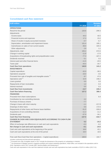#### **Consolidated cash flow statement**

| <b>EUR</b> million                                                 |                | <b>Restated</b> |
|--------------------------------------------------------------------|----------------|-----------------|
|                                                                    | <b>FY 2018</b> | FY 2017         |
| <b>OPERATIONS</b>                                                  |                |                 |
| Result for the period                                              | 125.6          | $-299.3$        |
| Adjustments                                                        |                |                 |
| Income taxes                                                       | 44.3           | 40.5            |
| Financial income and expenses                                      | 17.3           | 23.2            |
| Share of results in equity-accounted investees                     | $-4.7$         | $-5.7$          |
| Depreciation, amortisation and impairment losses                   | 131.4          | 195.1           |
| Gains/losses on sales of non-current assets                        | $-36.0$        | 420.3           |
| Other adjustments                                                  | 2.9            | 1.1             |
| Adjustments, total                                                 | 155.2          | 674.5           |
| Change in working capital                                          | $-11.8$        | $-17.0$         |
| Acquisitions of broadcasting rights and prepublication costs       | $-77.3$        | $-167.2$        |
| Dividends received                                                 | 5.1            | 5.5             |
| Interest paid and other financial items                            | $-11.5$        | $-20.5$         |
| Taxes paid                                                         | $-44.4$        | $-34.7$         |
| <b>Cash flow from operations</b>                                   | 140.9          | 141.2           |
| <b>INVESTMENTS</b>                                                 |                |                 |
| Capital expenditure                                                | $-32.0$        | $-36.5$         |
| Operations acquired                                                | $-16.0$        | $-4.6$          |
| Proceeds from sale of tangible and intangible assets <sup>1)</sup> | 9.7            | 47.6            |
| Operations sold <sup>2)</sup>                                      | 22.9           | 238.2           |
| Loans granted                                                      | 0.0            | 0.0             |
| Repayments of loan receivables                                     | 1.2            | 0.3             |
| Interest received                                                  | 0.5            | 0.3             |
| <b>Cash flow from investments</b>                                  | $-13.7$        | 245.2           |
| <b>Cash flow before financing</b>                                  | 127.2          | 386.4           |
| <b>FINANCING</b>                                                   |                |                 |
| Proceeds from share subscriptions                                  |                | 6.4             |
| Contribution by non-controlling interests                          | 2.2            |                 |
| Purchase of treasury shares                                        | $-7.7$         |                 |
| Change in loans with short maturity                                | $-1.1$         | $-217.8$        |
| Drawings of other loans                                            | 0.0            | 172.5           |
| Repayments of other loans and finance lease liabilities            | $-51.5$        | $-326.6$        |
| Acquisitions of non-controlling interests                          | $-11.2$        | $-11.2$         |
| Dividends paid                                                     | $-57.9$        | $-34.1$         |
| <b>Cash flow from financing</b>                                    | $-127.0$       | $-410.7$        |
| <b>CHANGE IN CASH AND CASH EQUIVALENTS ACCORDING TO CASH FLOW</b>  |                |                 |
| <b>STATEMENT</b>                                                   | 0.2            | $-24.3$         |
| Effect of exchange rate differences on cash and cash equivalents   | $-0.3$         | $-0.2$          |
| Net change in cash and cash equivalents                            | $-0.1$         | $-24.5$         |
| Cash and cash equivalents at the beginning of the period           | 18.6           | 43.1            |
| Cash and cash equivalents at the end of the period                 | 18.4           | 18.6            |
| Free cash flow (Cash flow from operations - Capital expenditure)   | 108.9          | 104.7           |

Includes continuing and discontinued operations.

<sup>1)</sup> Proceeds from sale of tangible assets in 2017 include the divestment of the property at Ludviginkatu in Helsinki.

<sup>2)</sup> The divestment of Belgian women's magazine portfolio and content marketing operations, Head Office, are included in the operations sold in 2018. Operations sold in 2017 include SBS, Sanoma Baltics and Kieskeurig.nl.

Cash and cash equivalents in the cash flow statement include cash and cash equivalents less bank overdrafts of EUR 0.4 million (2017:2.0).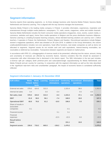### **Segment information**

Sanoma reports three operating segments, i.e. its three strategic business units Sanoma Media Finland, Sanoma Media Netherlands and Sanoma Learning. This is aligned with the way Sanoma manages the businesses.

Sanoma Media Finland is the leading media company in Finland. It provides information, experiences, inspiration and entertainment through multiple media platforms: newspapers, TV, radio, events, magazines, online and mobile channels. Sanoma Media Netherlands includes the Dutch consumer media operations (magazines, news, events, custom media, ecommerce, websites and apps), Home Deco media operations in Belgium and the press distribution business Aldipress. Sanoma Learning is a leading European learning company, whose blended learning solutions are used by over 1 million teachers. It operates in Poland, the Netherlands, Finland, Belgium and Sweden. Discontinued operations include Belgian women's magazines operations, which was divested on 29 June 2018. In addition to the Group eliminations, the column unallocated/eliminations includes non-core operations, head office functions, real estate companies as well as items not allocated to segments. Segment assets do not include cash and cash equivalents, interest-bearing receivables, tax receivables or deferred tax receivables. Transactions between segments are based on market prices.

In accordance with IFRS 15, a disaggregation of revenue needs to be presented, reflecting how the nature, amount, timing and uncertainty of revenues are affected by economic factors. Sanoma considers that this should be assessed in conjunction with other information that is disclosed in the interim report. The SBU information in the text part includes a revenue split per category (both print/non-print and subscription/single copy/advertising for Media Netherlands and Media Finland) and per country for Learning. In conjunction with the segment information as well as the risks described in the 'significant near-term risks and uncertainties' paragraph, the impact of economic factors is considered sufficiently reflected.

| <b>EUR million</b>                             | <b>Media</b><br><b>Finland Nether-</b> | <b>Media</b><br>lands | Learning | Unallocated/<br>eliminations | operations | <b>Continuing Discontinued</b><br>operations | <b>Eliminations</b> | <b>Total</b> |
|------------------------------------------------|----------------------------------------|-----------------------|----------|------------------------------|------------|----------------------------------------------|---------------------|--------------|
| External net sales                             | 578.0                                  | 424.0                 | 313.3    |                              | 1,315.4    | 36.6                                         |                     | 1,352.0      |
| Internal net sales                             | 0.4                                    |                       | 0.0      | $-0.4$                       |            | 0.5                                          | $-0.5$              |              |
| Net sales, total                               | 578.5                                  | 424.0                 | 313.3    | $-0.4$                       | 1,315.4    | 37.1                                         | $-0.5$              | 1,352.0      |
| <b>EBIT</b>                                    | 61.8                                   | 58.0                  | 56.1     | $-7.4$                       | 168.5      | 18.8                                         |                     | 187.3        |
| <b>Operational EBIT</b>                        | 68.8                                   | 76.6                  | 61.2     | $-10.0$                      | 196.6      | 3.5                                          |                     | 200.1        |
| Share of results in<br>associated<br>companies | $-0.1$                                 |                       |          |                              | $-0.1$     |                                              |                     | $-0.1$       |
| Financial income                               |                                        |                       |          | 5.1                          | 5.1        |                                              |                     | 5.1          |
| Financial<br>expenses                          |                                        |                       |          | $-22.5$                      | $-22.5$    | 0.0                                          |                     | $-22.5$      |
| <b>Result before</b><br>taxes                  |                                        |                       |          |                              | 151.1      | 18.8                                         |                     | 169.9        |
| <b>Segment assets</b>                          | 230.6                                  | 719.2                 | 665.5    | $-136.2$                     | 1,479.2    |                                              |                     | 1,479.2      |

#### **Segment information 1 January–31 December 2018**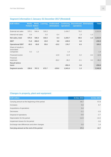| <b>EUR million</b>                             | <b>Media</b><br><b>Finland</b> | <b>Media</b><br><b>Nether-</b><br>lands | Learning | Unallocated/<br>eliminations | operations | <b>Continuing Discontinued</b><br>operations | <b>Eliminations</b> | <b>Total</b> |
|------------------------------------------------|--------------------------------|-----------------------------------------|----------|------------------------------|------------|----------------------------------------------|---------------------|--------------|
| External net sales                             | 570.1                          | 546.4                                   | 318.3    |                              | 1,434.7    | 79.2                                         |                     | 1,513.9      |
| Internal net sales                             | 0.4                            |                                         | 0.0      | $-0.4$                       |            | 1.3                                          | $-1.3$              |              |
| Net sales, total                               | 570.4                          | 546.4                                   | 318.3    | $-0.4$                       | 1,434.7    | 80.5                                         | $-1.3$              | 1,513.9      |
| <b>EBIT</b>                                    | 71.8                           | $-366.0$                                | 43.9     | 9.8                          | $-240.5$   | 3.6                                          |                     | $-236.9$     |
| <b>Operational EBIT</b>                        | 65.5                           | 65.8                                    | 55.6     | $-10.2$                      | 176.7      | 6.5                                          |                     | 183.2        |
| Share of results in<br>associated<br>companies | 0.2                            | 1.2                                     |          |                              | 1.4        |                                              |                     | 1.4          |
| Financial income                               |                                |                                         |          | 12.9                         | 12.9       | 0.2                                          | $-0.2$              | 12.9         |
| Financial<br>expenses                          |                                |                                         |          | $-36.2$                      | $-36.2$    | $-0.1$                                       | 0.2                 | $-36.2$      |
| <b>Result before</b><br>taxes                  |                                |                                         |          |                              | $-262.4$   | 3.6                                          |                     | $-258.8$     |
| <b>Segment assets</b>                          | 230.6                          | 767.2                                   | 672.7    | $-129.0$                     | 1,541.6    | 1.3                                          |                     | 1.542.8      |

### **Segment information 1 January–31 December 2017 (Restated)**

### **Changes in property, plant and equipment**

| <b>EUR million</b>                             | 31 Dec 2018 | 31 Dec 2017 |
|------------------------------------------------|-------------|-------------|
| Carrying amount at the beginning of the period | 44.7        | 57.8        |
| Increases                                      | 5.6         | 8.7         |
| Acquisitions of operations                     | 0.4         |             |
| Decreases                                      | $-1.1$      | $-3.3$      |
| Disposal of operations                         | $-0.6$      | $-2.7$      |
| Depreciation for the period                    | $-11.5$     | $-14.2$     |
| Impairment losses for the period               |             | $-3.0$      |
| Exchange rate differences and other changes    | 0.0         | 1.4         |
| Carrying amount at the end of the period       | 37.4        | 44.7        |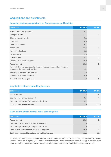## **Acquisitions and divestments**

#### **Impact of business acquisitions on Group's assets and liabilities**

| <b>EUR million</b>                                                                                                        | <b>FY 2018</b> | FY 2017 |
|---------------------------------------------------------------------------------------------------------------------------|----------------|---------|
| Property, plant and equipment                                                                                             | 0.4            |         |
| Intangible assets                                                                                                         | 17.1           | 3.2     |
| Other non-current assets                                                                                                  | 0.1            |         |
| Inventories                                                                                                               | 0.0            |         |
| Other current assets                                                                                                      | 6.1            |         |
| Assets, total                                                                                                             | 23.7           | 3.2     |
| Non-current liabilities                                                                                                   | $-1.3$         |         |
| <b>Current liabilities</b>                                                                                                | $-3.4$         | $-0.4$  |
| Liabilities, total                                                                                                        | $-4.7$         | $-0.4$  |
| Fair value of acquired net assets                                                                                         | 19.0           | 2.8     |
| Acquisition cost                                                                                                          | 20.8           | 2.9     |
| Non-controlling interests, based on the proportionate interest in the recognised<br>amounts of the assets and liabilities | 1.2            |         |
| Fair value of previously held interest                                                                                    | 1.8            |         |
| Fair value of acquired net assets                                                                                         | $-19.0$        | $-2.8$  |
| <b>Goodwill from the acquisitions</b>                                                                                     | 4.9            | 0.1     |

#### **Acquisitions of non-controlling interests**

| <b>EUR million</b>                                     | FY 2018 | <b>FY 2017</b> |
|--------------------------------------------------------|---------|----------------|
| Acquisition cost                                       | 11.2    | 14.0           |
| Book value of the acquired interest                    | 0.4     | 2.6            |
| Decrease (+) / increase (-) in acquisition liabilities | 9.1     |                |
| Impact on consolidated equity                          | $-1.6$  | $-11.4$        |

#### **Cash paid to obtain control, net of cash acquired**

| <b>EUR million</b>                                     | <b>FY 2018</b> | <b>FY 2017</b> |
|--------------------------------------------------------|----------------|----------------|
| Acquisition cost                                       | 20.8           | 2.9            |
| Cash and cash equivalents of acquired operations       | $-3.9$         |                |
| Decrease (+) / increase (-) in acquisition liabilities | $-1.0$         | 0.1            |
| Cash paid to obtain control, net of cash acquired      | 15.9           | 3.1            |
| Cash paid on acquisitions of non-controlling interests | 11.2           | 11.2           |

For 2018, the following business acquisitions are included in the calculation: N.C.D. Production, TAT-Palvelut Oy, Tikkurila Festival, Finnish News Agency (STT) and Kaiku Entertainment. The increase of ownership in Scoupy is included in the acquisitions of non-controlling interests. More information on the most material acquisitions is provided on p. 9-10.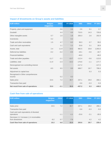### **Impact of divestments on Group's assets and liabilities**

| <b>EUR million</b>                          | <b>Belgian</b><br>magazines | <b>Other</b> | <b>FY 2018</b> | <b>SBS</b> | <b>Other</b> | FY 2017  |
|---------------------------------------------|-----------------------------|--------------|----------------|------------|--------------|----------|
| Property, plant and equipment               |                             | 0.6          | 0.6            | 2.6        | 0.1          | 2.7      |
| Goodwill                                    |                             | 4.4          | 4.4            | 715.5      | 14.3         | 729.8    |
| Other intangible assets                     | 0.7                         | 1.0          | 1.6            | 200.3      | 2.6          | 202.9    |
| Inventories                                 | 0.2                         |              | 0.2            |            |              |          |
| Trade and other receivables                 | 1.5                         | 4.7          | 6.2            | 38.3       | 0.7          | 39.0     |
| Cash and cash equivalents                   |                             | 1.1          | 1.1            | 25.8       | 3.1          | 28.9     |
| Assets, total                               | 2.4                         | 11.9         | 14.2           | 982.5      | 20.8         | 1,003.3  |
| Deferred tax liabilities                    | $-0.2$                      | $-0.2$       | $-0.5$         | $-18.1$    | $-0.6$       | $-18.7$  |
| <b>Financial liabilities</b>                |                             |              |                | $-46.0$    |              | $-46.0$  |
| Trade and other payables                    | $-11.7$                     | $-2.1$       | $-13.7$        | $-112.4$   | $-0.6$       | $-113.0$ |
| Liabilities, total                          | $-11.9$                     | $-2.3$       | $-14.2$        | $-176.6$   | $-1.1$       | $-177.7$ |
| Derecognised non-controlling interest       |                             |              |                | $-117.2$   |              | $-117.2$ |
| Net assets                                  | $-9.5$                      | 9.5          | 0.0            | 688.7      | 19.7         | 708.4    |
| Adjustment to capital loss                  |                             |              |                |            | 0.3          | 0.3      |
| Recognised in Other comprehensive<br>income |                             | 0.2          | 0.2            |            |              |          |
| Sales price                                 | 23.5                        | 7.2          | 30.7           | 237.1      | 29.0         | 266.1    |
| Transaction fees paid                       |                             |              |                | $-5.6$     | $-0.3$       | $-5.9$   |
| Net result from sale of operations          | 33.0                        | $-2.1$       | 30.9           | $-457.2$   | 9.3          | $-448.0$ |

### **Cash flow from sale of operations**

| <b>EUR million</b>                                            | <b>Belgian</b><br>magazines | <b>Other</b> | FY 2018 | <b>SBS</b> | <b>Other</b> | FY 2017 |
|---------------------------------------------------------------|-----------------------------|--------------|---------|------------|--------------|---------|
| Sales price                                                   | 23.5                        | 7.2          | 30.7    | 237.1      | 29.0         | 266.1   |
| Transaction fees paid                                         |                             |              |         | $-5.6$     | $-0.3$       | $-5.9$  |
| Cash and cash equivalents of divested<br>operations           |                             | $-1.1$       | $-1.1$  | $-25.8$    | $-3.1$       | $-28.9$ |
| Decrease (+) / increase (-) in receivables<br>from divestment | $-8.2$                      | 0.7          | $-7.6$  |            | 4.2          | 4.2     |
| Cash flow from sale of operations                             | 15.3                        | 6.8          | 22.0    | 205.6      | 29.7         | 235.4   |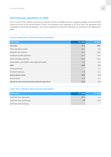### **Discontinued operations in 2018**

On 16 January 2018, Sanoma announced its intention to divest its Belgian women's magazine portfolio to Roularta Media Group by the end of the second quarter of 2018. The divestment was completed on 29 June 2018. The operations were reclassified as discontinued operations. The income statement and cash flow statement are presented in the following two tables.

#### **Income statement of discontinued operations**

| <b>EUR million</b>                                 | <b>FY 2018</b> | <b>FY 2017</b> |
|----------------------------------------------------|----------------|----------------|
| <b>Net sales</b>                                   | 37.1           | 80.5           |
| Other operating income                             | 36.7           | 0.0            |
| Materials and services                             | $-15.2$        | $-34.5$        |
| Employee benefit expenses                          | $-24.4$        | $-14.9$        |
| Other operating expenses                           | $-14.8$        | $-23.4$        |
| Depreciation, amortisation and impairment losses   | $-0.5$         | $-4.2$         |
| <b>EBIT</b>                                        | 18.8           | 3.6            |
| Financial income                                   |                | 0.2            |
| Financial expenses                                 | 0.0            | $-0.1$         |
| <b>Result before taxes</b>                         | 18.8           | 3.6            |
| Income taxes                                       | $-5.9$         | $-1.4$         |
| Result for the period from discontinued operations | 12.9           | 2.3            |

### **Cash flow related to discontinued operations**

| <b>EUR million</b>         | <b>FY 2018</b> | <b>FY 2017</b> |
|----------------------------|----------------|----------------|
| Cash flow from operations  | $-17.1$        | 5.1            |
| Cash flow from investments | 7.9            | $-5.8$         |
| Cash flow from financing   |                |                |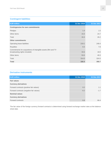### **Contingent liabilities**

| <b>EUR million</b>                                                                              | 31 Dec 2018 | 31 Dec 2017 |
|-------------------------------------------------------------------------------------------------|-------------|-------------|
| <b>Contingencies for own commitments</b>                                                        |             |             |
| Pledges                                                                                         | 1.4         | 1.5         |
| Other items                                                                                     | 15.0        | 24.7        |
| Total                                                                                           | 16.4        | 26.2        |
| <b>Other commitments</b>                                                                        |             |             |
| Operating lease liabilities                                                                     | 219.1       | 249.4       |
| Royalties                                                                                       | 8.3         | 7.8         |
| Commitments for acquisitions of intangible assets (film and TV<br>broadcasting rights included) | 33.6        | 18.0        |
| Other items                                                                                     | 53.0        | 49.3        |
| Total                                                                                           | 314.0       | 324.5       |
| <b>Total</b>                                                                                    | 330.4       | 350.7       |

#### **Derivative instruments**

| <b>EUR million</b>                       | 31 Dec 2018 | 31 Dec 2017 |
|------------------------------------------|-------------|-------------|
| <b>Fair values</b>                       |             |             |
| <b>Currency derivatives</b>              |             |             |
| Forward contracts (positive fair values) | 0.2         | 1.1         |
| Forward contracts (negative fair values) | $-0.2$      | $-1.7$      |
| <b>Nominal values</b>                    |             |             |
| <b>Currency derivatives</b>              |             |             |
| Forward contracts                        | 6.8         | 66.4        |

The fair value of the foreign currency forward contracts is determined using forward exchange market rates at the balance sheet date.